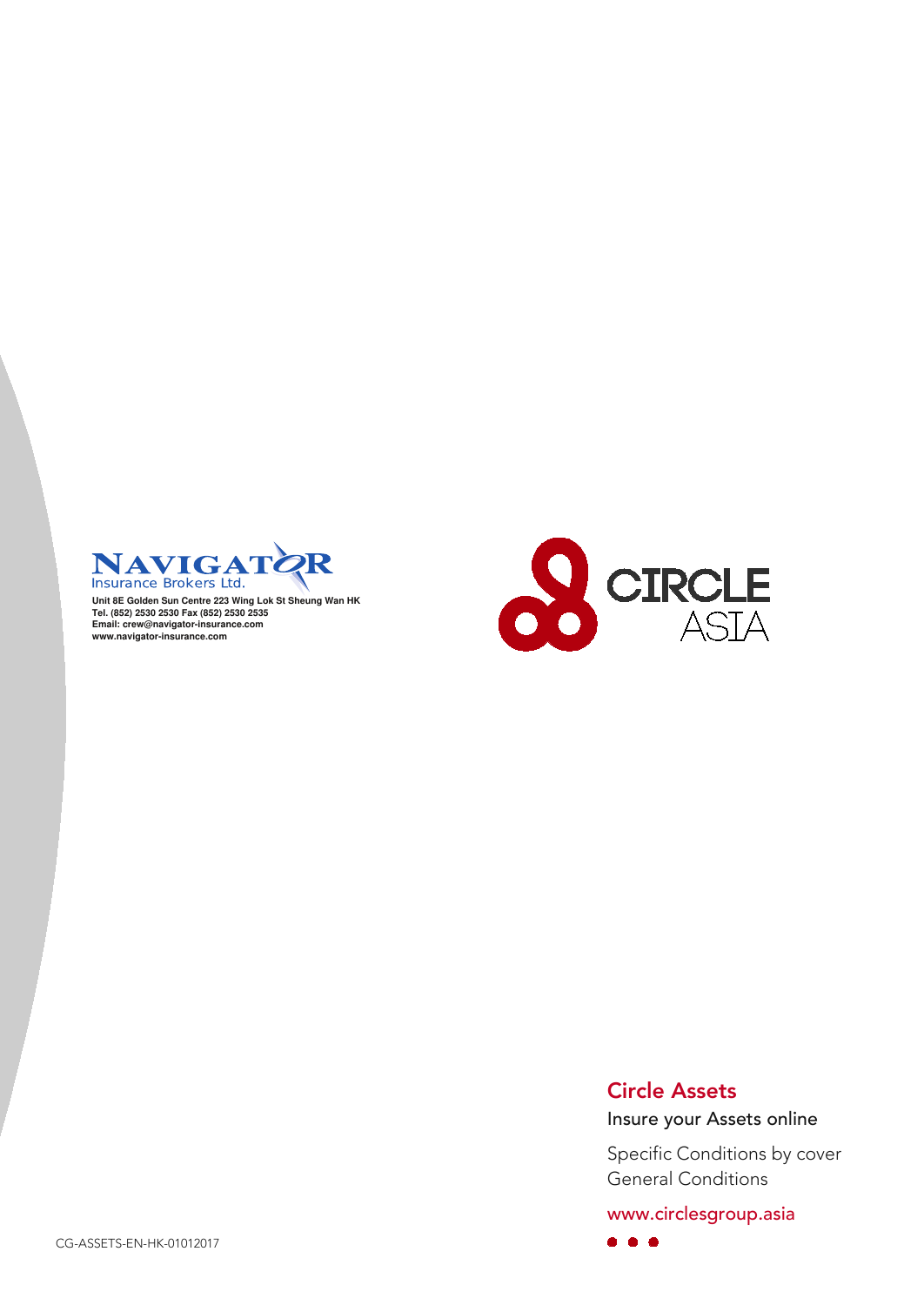

Unit 8E Golden Sun Centre 223 Wing Lok St Sheung Wan HK Tel. (852) 2530 2530 Fax (852) 2530 2535<br>Email: crew@navigator-insurance.com<br>www.navigator-insurance.com



### Circle Assets

 $\bullet\hspace{0.4mm}\bullet\hspace{0.4mm}\bullet\hspace{0.4mm}\bullet$ 

Insure your Assets online

Specific Conditions by cover General Conditions

www.circlesgroup.asia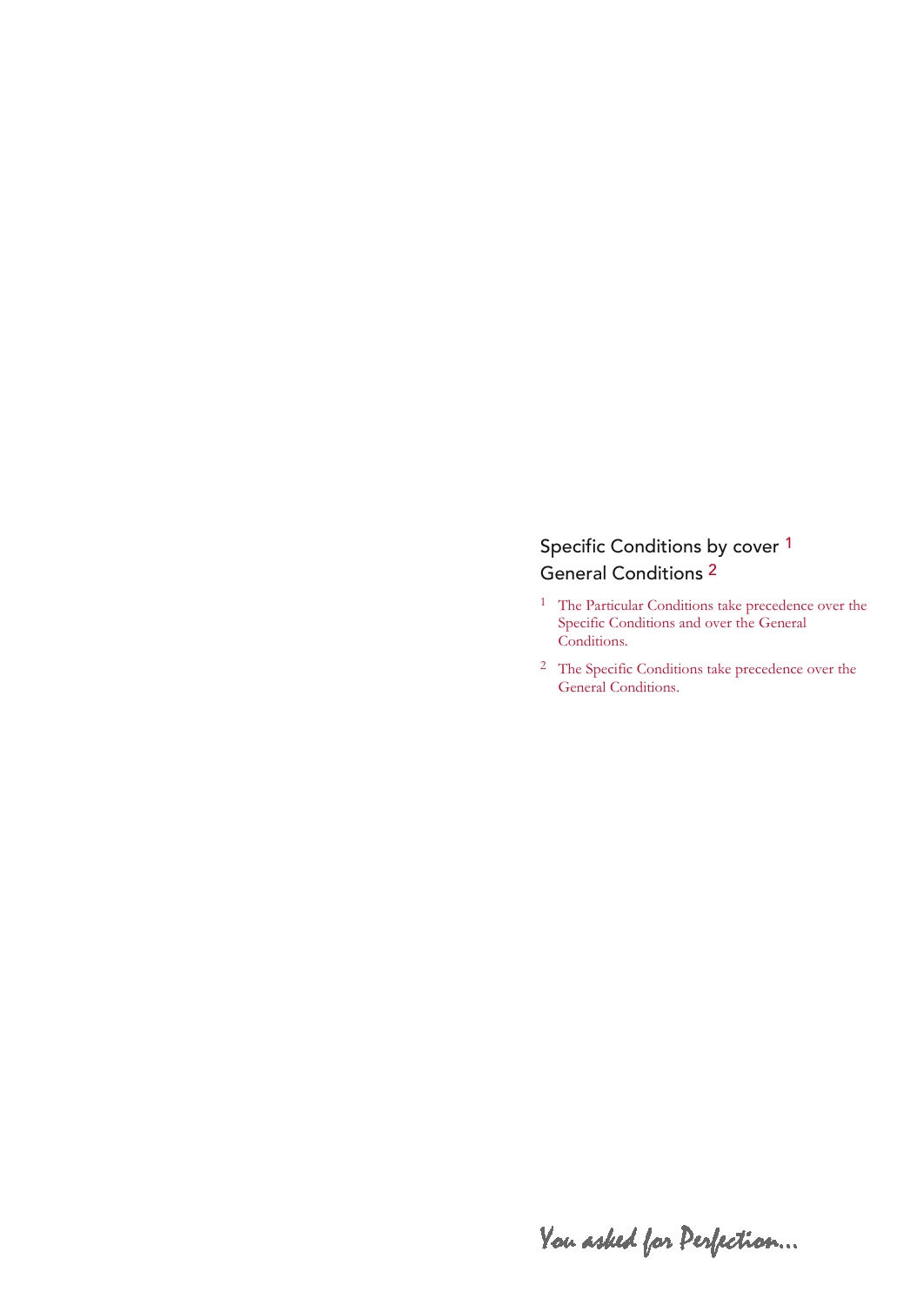### Specific Conditions by cover <sup>1</sup> General Conditions 2

- <sup>1</sup> The Particular Conditions take precedence over the Specific Conditions and over the General Conditions.
- <sup>2</sup> The Specific Conditions take precedence over the General Conditions.

You asked for Perfection...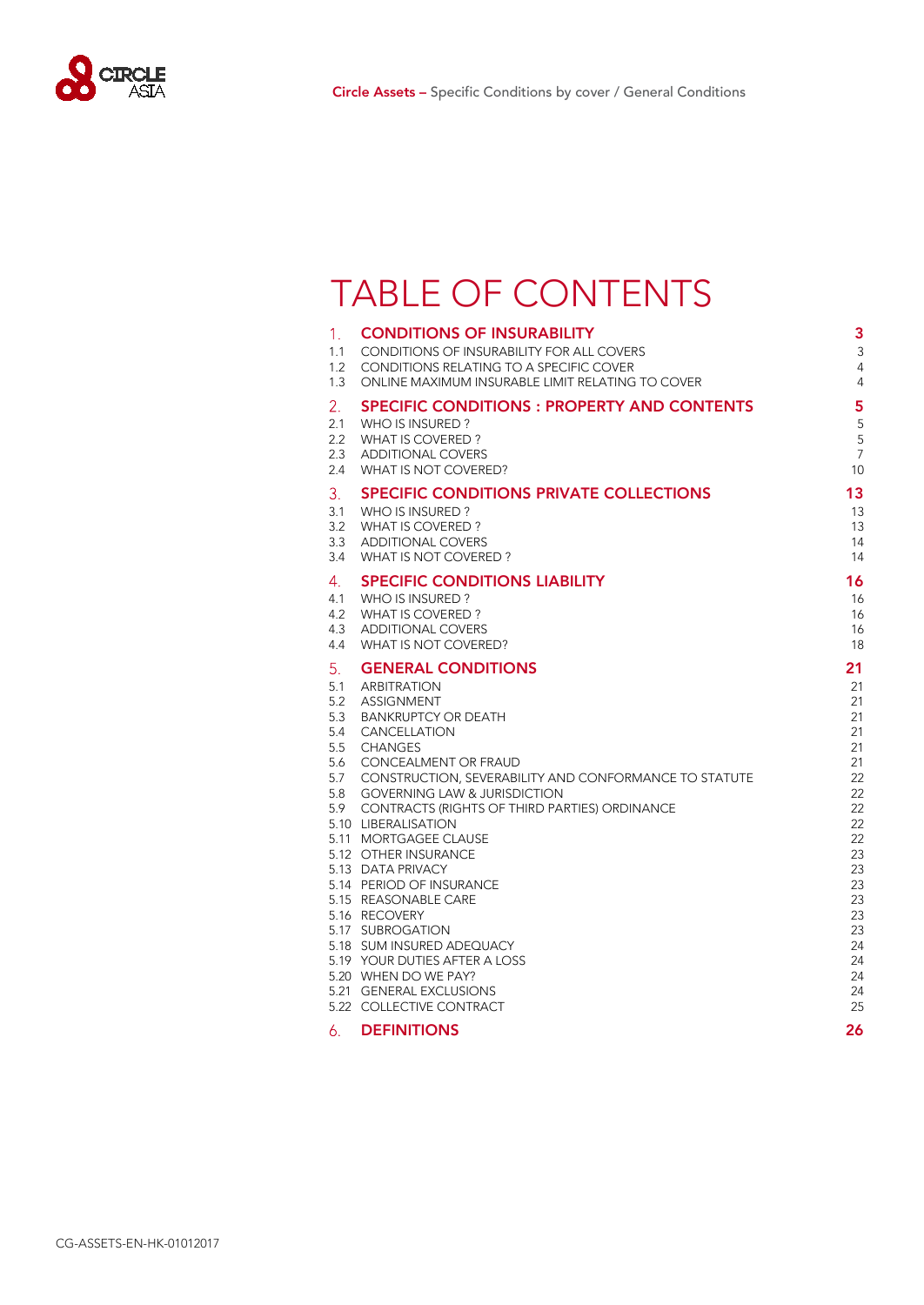

### TABLE OF CONTENTS

| 1.<br>1.1  | <b>CONDITIONS OF INSURABILITY</b><br><b>CONDITIONS OF INSURABILITY FOR ALL COVERS</b>    | 3<br>3               |
|------------|------------------------------------------------------------------------------------------|----------------------|
| 1.2        | CONDITIONS RELATING TO A SPECIFIC COVER                                                  | $\overline{4}$       |
| 1.3        | ONLINE MAXIMUM INSURABLE LIMIT RELATING TO COVER                                         | $\overline{4}$       |
| 2.         | <b>SPECIFIC CONDITIONS : PROPERTY AND CONTENTS</b>                                       | 5                    |
| 2.1        | WHO IS INSURED?                                                                          | 5                    |
| 2.2        | WHAT IS COVERED?                                                                         | 5                    |
| 2.3<br>2.4 | <b>ADDITIONAL COVERS</b><br>WHAT IS NOT COVERED?                                         | $\overline{7}$<br>10 |
| 3.         | SPECIFIC CONDITIONS PRIVATE COLLECTIONS                                                  | 13                   |
| 3.1        | WHO IS INSURED?                                                                          | 13                   |
| 3.2        | WHAT IS COVERED?                                                                         | 13                   |
| 3.3        | <b>ADDITIONAL COVERS</b>                                                                 | 14                   |
| 3.4        | WHAT IS NOT COVERED?                                                                     | 14                   |
| 4.         | <b>SPECIFIC CONDITIONS LIABILITY</b>                                                     | 16                   |
| 4.1        | WHO IS INSURED?                                                                          | 16                   |
| 4.2<br>4.3 | WHAT IS COVERED?<br><b>ADDITIONAL COVERS</b>                                             | 16<br>16             |
| 4.4        | WHAT IS NOT COVERED?                                                                     | 18                   |
| 5.         | <b>GENERAL CONDITIONS</b>                                                                | 21                   |
| 5.1        | <b>ARBITRATION</b>                                                                       | 21                   |
| 5.2        | <b>ASSIGNMENT</b>                                                                        | 21                   |
| 5.3<br>5.4 | <b>BANKRUPTCY OR DEATH</b><br><b>CANCELLATION</b>                                        | 21<br>21             |
| 5.5        | <b>CHANGES</b>                                                                           | 21                   |
| 5.6        | CONCEALMENT OR FRAUD                                                                     | 21                   |
| 5.7        | <b>CONSTRUCTION, SEVERABILITY AND CONFORMANCE TO STATUTE</b>                             | 22                   |
| 5.8<br>5.9 | <b>GOVERNING LAW &amp; JURISDICTION</b><br>CONTRACTS (RIGHTS OF THIRD PARTIES) ORDINANCE | 22<br>22             |
|            | 5.10 LIBERALISATION                                                                      | 22                   |
|            | 5.11 MORTGAGEE CLAUSE                                                                    | 22                   |
|            | 5.12 OTHER INSURANCE                                                                     | 23                   |
|            | 5.13 DATA PRIVACY<br>5.14 PERIOD OF INSURANCE                                            | 23<br>23             |
|            | 5.15 REASONABLE CARE                                                                     | 23                   |
|            | 5.16 RECOVERY                                                                            | 23                   |
|            | 5.17 SUBROGATION                                                                         | 23                   |
|            | 5.18 SUM INSURED ADEQUACY<br>5.19 YOUR DUTIES AFTER A LOSS                               | 24<br>24             |
|            | 5.20 WHEN DO WE PAY?                                                                     | 24                   |
|            | 5.21 GENERAL EXCLUSIONS                                                                  | 24                   |
|            | 5.22 COLLECTIVE CONTRACT                                                                 | 25                   |
| 6.         | <b>DEFINITIONS</b>                                                                       | 26                   |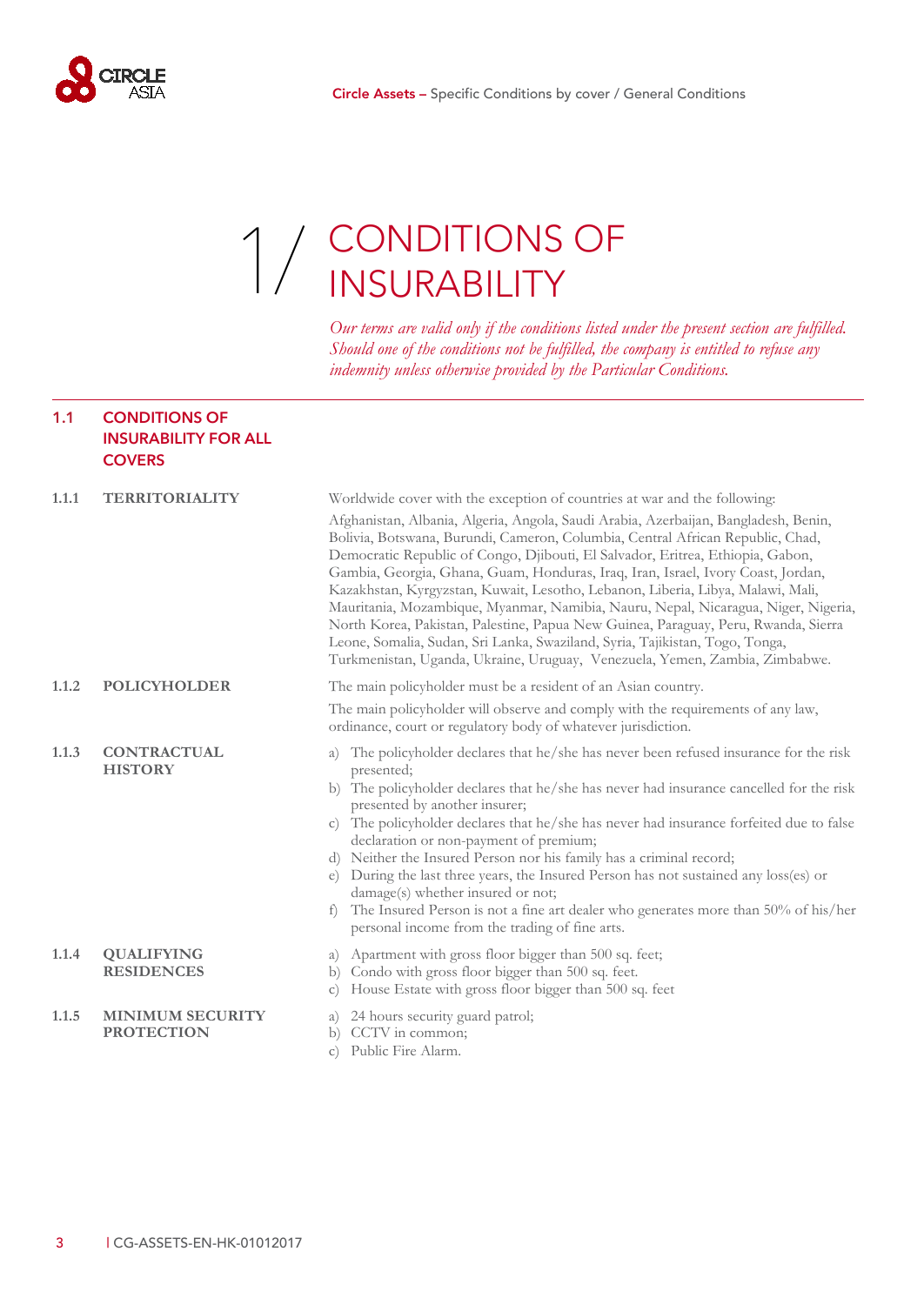<span id="page-4-0"></span>

### 1 / CONDITIONS OF [1/](#page-4-2) CONDITIONS<br>INSURABILITY

<span id="page-4-2"></span>*Our terms are valid only if the conditions listed under the present section are fulfilled. Should one of the conditions not be fulfilled, the company is entitled to refuse any indemnity unless otherwise provided by the Particular Conditions.*

#### <span id="page-4-1"></span>**1.1 CONDITIONS OF INSURABILITY FOR ALL COVERS**

| 1.1.1 | <b>TERRITORIALITY</b>                        | Worldwide cover with the exception of countries at war and the following:                                                                                                                                                                                                                                                                                                                                                                                                                                                                                                                                                                                                                                                                                                 |
|-------|----------------------------------------------|---------------------------------------------------------------------------------------------------------------------------------------------------------------------------------------------------------------------------------------------------------------------------------------------------------------------------------------------------------------------------------------------------------------------------------------------------------------------------------------------------------------------------------------------------------------------------------------------------------------------------------------------------------------------------------------------------------------------------------------------------------------------------|
|       |                                              | Afghanistan, Albania, Algeria, Angola, Saudi Arabia, Azerbaijan, Bangladesh, Benin,<br>Bolivia, Botswana, Burundi, Cameron, Columbia, Central African Republic, Chad,<br>Democratic Republic of Congo, Djibouti, El Salvador, Eritrea, Ethiopia, Gabon,<br>Gambia, Georgia, Ghana, Guam, Honduras, Iraq, Iran, Israel, Ivory Coast, Jordan,<br>Kazakhstan, Kyrgyzstan, Kuwait, Lesotho, Lebanon, Liberia, Libya, Malawi, Mali,<br>Mauritania, Mozambique, Myanmar, Namibia, Nauru, Nepal, Nicaragua, Niger, Nigeria,<br>North Korea, Pakistan, Palestine, Papua New Guinea, Paraguay, Peru, Rwanda, Sierra<br>Leone, Somalia, Sudan, Sri Lanka, Swaziland, Syria, Tajikistan, Togo, Tonga,<br>Turkmenistan, Uganda, Ukraine, Uruguay, Venezuela, Yemen, Zambia, Zimbabwe. |
| 1.1.2 | <b>POLICYHOLDER</b>                          | The main policyholder must be a resident of an Asian country.                                                                                                                                                                                                                                                                                                                                                                                                                                                                                                                                                                                                                                                                                                             |
|       |                                              | The main policyholder will observe and comply with the requirements of any law,<br>ordinance, court or regulatory body of whatever jurisdiction.                                                                                                                                                                                                                                                                                                                                                                                                                                                                                                                                                                                                                          |
| 1.1.3 | <b>CONTRACTUAL</b><br><b>HISTORY</b>         | The policyholder declares that he/she has never been refused insurance for the risk<br>a)<br>presented;<br>b) The policyholder declares that he/she has never had insurance cancelled for the risk<br>presented by another insurer;<br>The policyholder declares that he/she has never had insurance forfeited due to false<br>$\mathcal{C}$ )<br>declaration or non-payment of premium;<br>d) Neither the Insured Person nor his family has a criminal record;<br>During the last three years, the Insured Person has not sustained any loss(es) or<br>$\epsilon$<br>damage(s) whether insured or not;<br>The Insured Person is not a fine art dealer who generates more than 50% of his/her<br>f<br>personal income from the trading of fine arts.                      |
| 1.1.4 | <b>QUALIFYING</b><br><b>RESIDENCES</b>       | Apartment with gross floor bigger than 500 sq. feet;<br>a)<br>Condo with gross floor bigger than 500 sq. feet.<br>b)<br>House Estate with gross floor bigger than 500 sq. feet<br>$\mathcal{C}$ )                                                                                                                                                                                                                                                                                                                                                                                                                                                                                                                                                                         |
| 1.1.5 | <b>MINIMUM SECURITY</b><br><b>PROTECTION</b> | 24 hours security guard patrol;<br>a)<br>b) CCTV in common;<br>Public Fire Alarm.<br>$\mathcal{C}$ )                                                                                                                                                                                                                                                                                                                                                                                                                                                                                                                                                                                                                                                                      |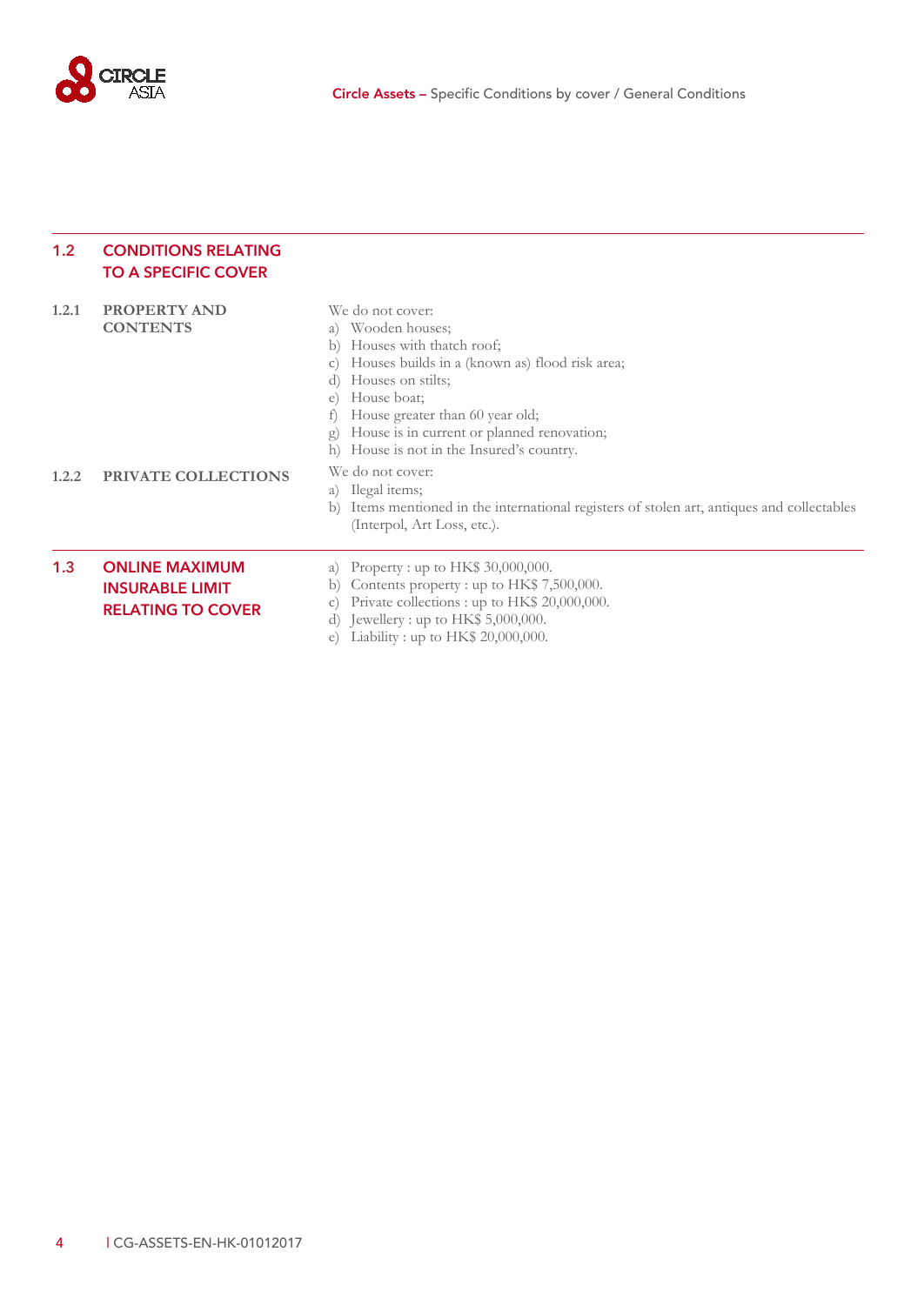

#### <span id="page-5-0"></span>**1.2 CONDITIONS RELATING TO A SPECIFIC COVER**

<span id="page-5-1"></span>

| 1,2.1 | <b>PROPERTY AND</b><br><b>CONTENTS</b>                                      | We do not cover:<br>Wooden houses;<br>a)<br>Houses with thatch roof;<br>b)<br>Houses builds in a (known as) flood risk area;<br>$\mathcal{C}$ )<br>Houses on stilts;<br>d)<br>House boat;<br>$\epsilon$<br>House greater than 60 year old;<br>House is in current or planned renovation;<br>g)<br>House is not in the Insured's country.<br>h) |
|-------|-----------------------------------------------------------------------------|------------------------------------------------------------------------------------------------------------------------------------------------------------------------------------------------------------------------------------------------------------------------------------------------------------------------------------------------|
| 1.2.2 | <b>PRIVATE COLLECTIONS</b>                                                  | We do not cover:<br>a) Ilegal items;<br>Items mentioned in the international registers of stolen art, antiques and collectables<br>b)<br>(Interpol, Art Loss, etc.).                                                                                                                                                                           |
| 1.3   | <b>ONLINE MAXIMUM</b><br><b>INSURABLE LIMIT</b><br><b>RELATING TO COVER</b> | a) Property : up to HK\$ 30,000,000.<br>Contents property : up to $HK\$ 7,500,000.<br>b)<br>Private collections : up to HK\$ 20,000,000.<br>$\mathcal{C}$ )<br>Jewellery : up to $HK$$ 5,000,000.<br>d)<br>Liability : up to $HK$20,000,000$ .<br>e)                                                                                           |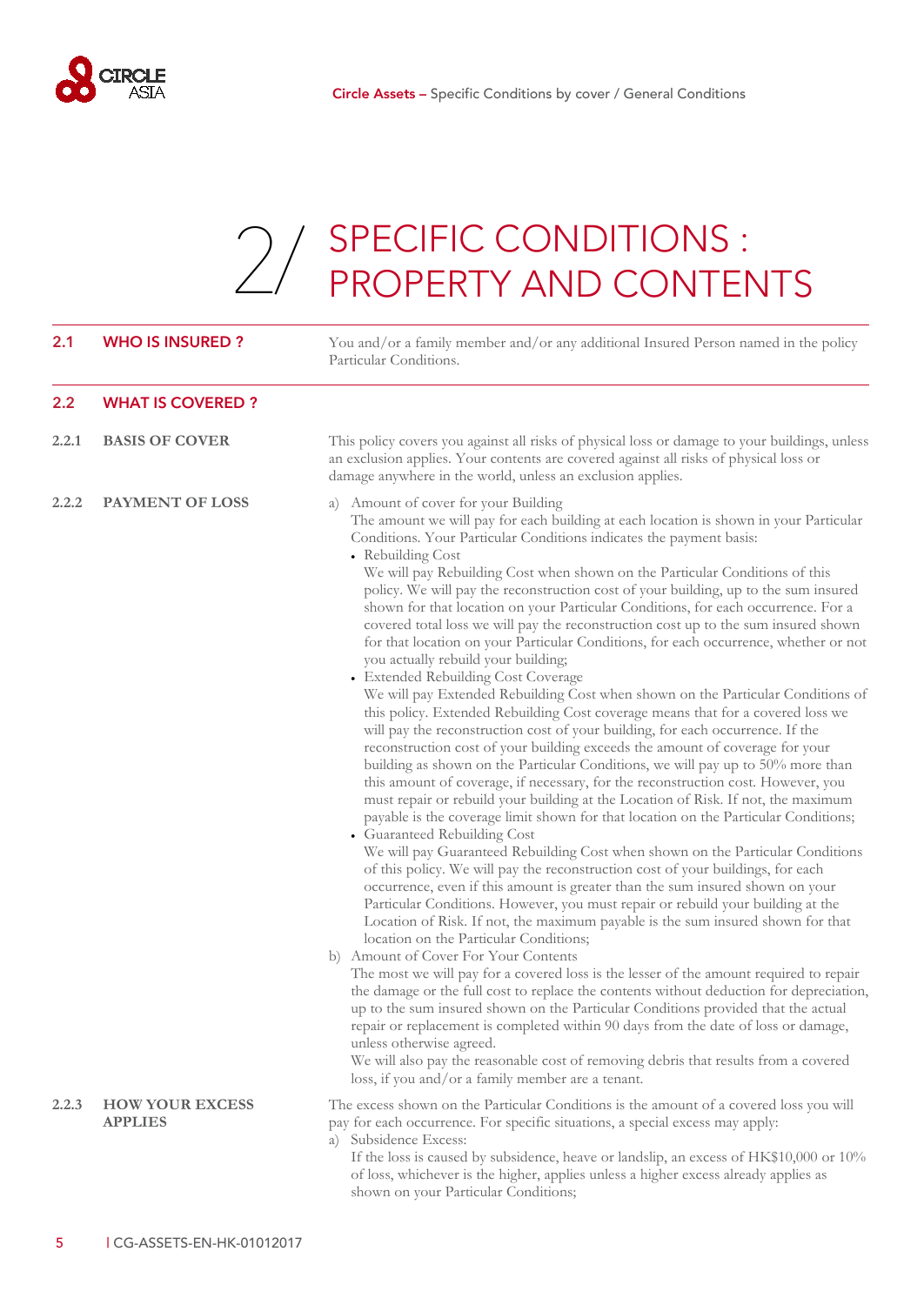<span id="page-6-0"></span>

# 2. SPECIFIC CONDITIONS : [2/](#page-6-0) SPECIFIC CONDITIONS :<br>PROPERTY AND CONTENTS

<span id="page-6-2"></span><span id="page-6-1"></span>

| 2.1   | <b>WHO IS INSURED?</b>                   | You and/or a family member and/or any additional Insured Person named in the policy<br>Particular Conditions.                                                                                                                                                                                                                                                                                                                                                                                                                                                                                                                                                                                                                                                                                                                                                                                                                                                                                                                                                                                                                                                                                                                                                                                                                                                                                                                                                                                                                                                                                                                                                                                                                                                                                                                                                                                                                                                                                                                                                                                                                                                                                                                                                                                                                                                                                                                                                                |
|-------|------------------------------------------|------------------------------------------------------------------------------------------------------------------------------------------------------------------------------------------------------------------------------------------------------------------------------------------------------------------------------------------------------------------------------------------------------------------------------------------------------------------------------------------------------------------------------------------------------------------------------------------------------------------------------------------------------------------------------------------------------------------------------------------------------------------------------------------------------------------------------------------------------------------------------------------------------------------------------------------------------------------------------------------------------------------------------------------------------------------------------------------------------------------------------------------------------------------------------------------------------------------------------------------------------------------------------------------------------------------------------------------------------------------------------------------------------------------------------------------------------------------------------------------------------------------------------------------------------------------------------------------------------------------------------------------------------------------------------------------------------------------------------------------------------------------------------------------------------------------------------------------------------------------------------------------------------------------------------------------------------------------------------------------------------------------------------------------------------------------------------------------------------------------------------------------------------------------------------------------------------------------------------------------------------------------------------------------------------------------------------------------------------------------------------------------------------------------------------------------------------------------------------|
| 2.2   | <b>WHAT IS COVERED?</b>                  |                                                                                                                                                                                                                                                                                                                                                                                                                                                                                                                                                                                                                                                                                                                                                                                                                                                                                                                                                                                                                                                                                                                                                                                                                                                                                                                                                                                                                                                                                                                                                                                                                                                                                                                                                                                                                                                                                                                                                                                                                                                                                                                                                                                                                                                                                                                                                                                                                                                                              |
| 2.2.1 | <b>BASIS OF COVER</b>                    | This policy covers you against all risks of physical loss or damage to your buildings, unless<br>an exclusion applies. Your contents are covered against all risks of physical loss or<br>damage anywhere in the world, unless an exclusion applies.                                                                                                                                                                                                                                                                                                                                                                                                                                                                                                                                                                                                                                                                                                                                                                                                                                                                                                                                                                                                                                                                                                                                                                                                                                                                                                                                                                                                                                                                                                                                                                                                                                                                                                                                                                                                                                                                                                                                                                                                                                                                                                                                                                                                                         |
| 2.2.2 | <b>PAYMENT OF LOSS</b>                   | a) Amount of cover for your Building<br>The amount we will pay for each building at each location is shown in your Particular<br>Conditions. Your Particular Conditions indicates the payment basis:<br>• Rebuilding Cost<br>We will pay Rebuilding Cost when shown on the Particular Conditions of this<br>policy. We will pay the reconstruction cost of your building, up to the sum insured<br>shown for that location on your Particular Conditions, for each occurrence. For a<br>covered total loss we will pay the reconstruction cost up to the sum insured shown<br>for that location on your Particular Conditions, for each occurrence, whether or not<br>you actually rebuild your building;<br>• Extended Rebuilding Cost Coverage<br>We will pay Extended Rebuilding Cost when shown on the Particular Conditions of<br>this policy. Extended Rebuilding Cost coverage means that for a covered loss we<br>will pay the reconstruction cost of your building, for each occurrence. If the<br>reconstruction cost of your building exceeds the amount of coverage for your<br>building as shown on the Particular Conditions, we will pay up to 50% more than<br>this amount of coverage, if necessary, for the reconstruction cost. However, you<br>must repair or rebuild your building at the Location of Risk. If not, the maximum<br>payable is the coverage limit shown for that location on the Particular Conditions;<br>• Guaranteed Rebuilding Cost<br>We will pay Guaranteed Rebuilding Cost when shown on the Particular Conditions<br>of this policy. We will pay the reconstruction cost of your buildings, for each<br>occurrence, even if this amount is greater than the sum insured shown on your<br>Particular Conditions. However, you must repair or rebuild your building at the<br>Location of Risk. If not, the maximum payable is the sum insured shown for that<br>location on the Particular Conditions;<br>b) Amount of Cover For Your Contents<br>The most we will pay for a covered loss is the lesser of the amount required to repair<br>the damage or the full cost to replace the contents without deduction for depreciation,<br>up to the sum insured shown on the Particular Conditions provided that the actual<br>repair or replacement is completed within 90 days from the date of loss or damage,<br>unless otherwise agreed.<br>We will also pay the reasonable cost of removing debris that results from a covered |
| 2.2.3 | <b>HOW YOUR EXCESS</b><br><b>APPLIES</b> | loss, if you and/or a family member are a tenant.<br>The excess shown on the Particular Conditions is the amount of a covered loss you will<br>pay for each occurrence. For specific situations, a special excess may apply:<br>a) Subsidence Excess:<br>If the loss is caused by subsidence, heave or landslip, an excess of HK\$10,000 or 10%<br>of loss, whichever is the higher, applies unless a higher excess already applies as<br>shown on your Particular Conditions;                                                                                                                                                                                                                                                                                                                                                                                                                                                                                                                                                                                                                                                                                                                                                                                                                                                                                                                                                                                                                                                                                                                                                                                                                                                                                                                                                                                                                                                                                                                                                                                                                                                                                                                                                                                                                                                                                                                                                                                               |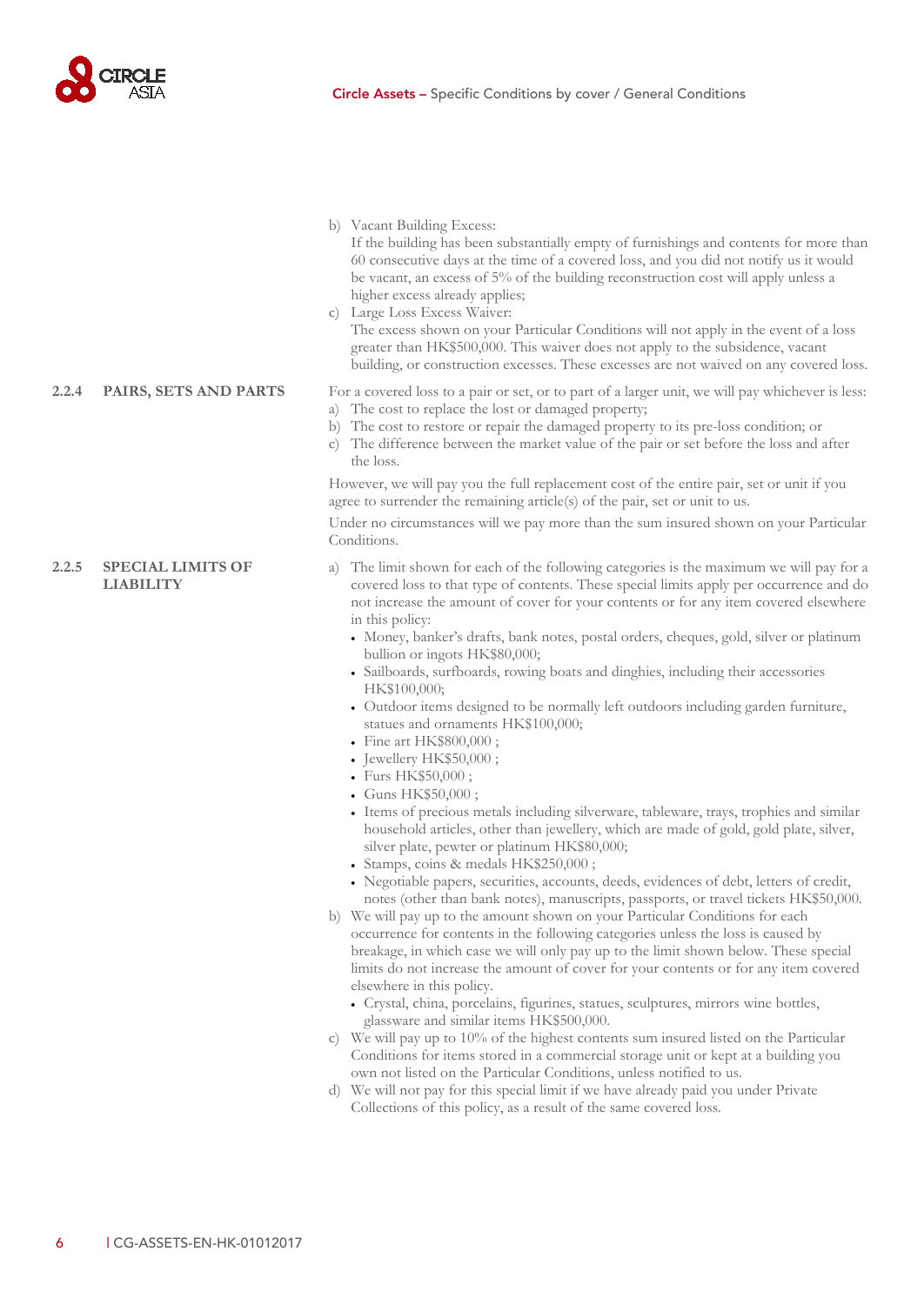

b) Vacant Building Excess:

If the building has been substantially empty of furnishings and contents for more than 60 consecutive days at the time of a covered loss, and you did not notify us it would be vacant, an excess of 5% of the building reconstruction cost will apply unless a higher excess already applies;

c) Large Loss Excess Waiver:

The excess shown on your Particular Conditions will not apply in the event of a loss greater than HK\$500,000. This waiver does not apply to the subsidence, vacant building, or construction excesses. These excesses are not waived on any covered loss.

#### **2.2.4 PAIRS, SETS AND PARTS** For a covered loss to a pair or set, or to part of a larger unit, we will pay whichever is less:

#### a) The cost to replace the lost or damaged property;

- b) The cost to restore or repair the damaged property to its pre-loss condition; or
- c) The difference between the market value of the pair or set before the loss and after the loss.

However, we will pay you the full replacement cost of the entire pair, set or unit if you agree to surrender the remaining article(s) of the pair, set or unit to us.

Under no circumstances will we pay more than the sum insured shown on your Particular Conditions.

- a) The limit shown for each of the following categories is the maximum we will pay for a covered loss to that type of contents. These special limits apply per occurrence and do not increase the amount of cover for your contents or for any item covered elsewhere in this policy:
	- Money, banker's drafts, bank notes, postal orders, cheques, gold, silver or platinum bullion or ingots HK\$80,000;
	- Sailboards, surfboards, rowing boats and dinghies, including their accessories HK\$100,000;
	- Outdoor items designed to be normally left outdoors including garden furniture, statues and ornaments HK\$100,000;
	- Fine art HK\$800,000 ;
	- Jewellery HK\$50,000;
	- Furs HK\$50,000 ;
	- Guns HK\$50,000 ;
	- Items of precious metals including silverware, tableware, trays, trophies and similar household articles, other than jewellery, which are made of gold, gold plate, silver, silver plate, pewter or platinum HK\$80,000;
	- Stamps, coins & medals HK\$250,000 ;
	- Negotiable papers, securities, accounts, deeds, evidences of debt, letters of credit, notes (other than bank notes), manuscripts, passports, or travel tickets HK\$50,000.
- b) We will pay up to the amount shown on your Particular Conditions for each occurrence for contents in the following categories unless the loss is caused by breakage, in which case we will only pay up to the limit shown below. These special limits do not increase the amount of cover for your contents or for any item covered elsewhere in this policy.
	- Crystal, china, porcelains, figurines, statues, sculptures, mirrors wine bottles, glassware and similar items HK\$500,000.
- c) We will pay up to 10% of the highest contents sum insured listed on the Particular Conditions for items stored in a commercial storage unit or kept at a building you own not listed on the Particular Conditions, unless notified to us.
- d) We will not pay for this special limit if we have already paid you under Private Collections of this policy, as a result of the same covered loss.

<span id="page-7-0"></span>**2.2.5 SPECIAL LIMITS OF LIABILITY**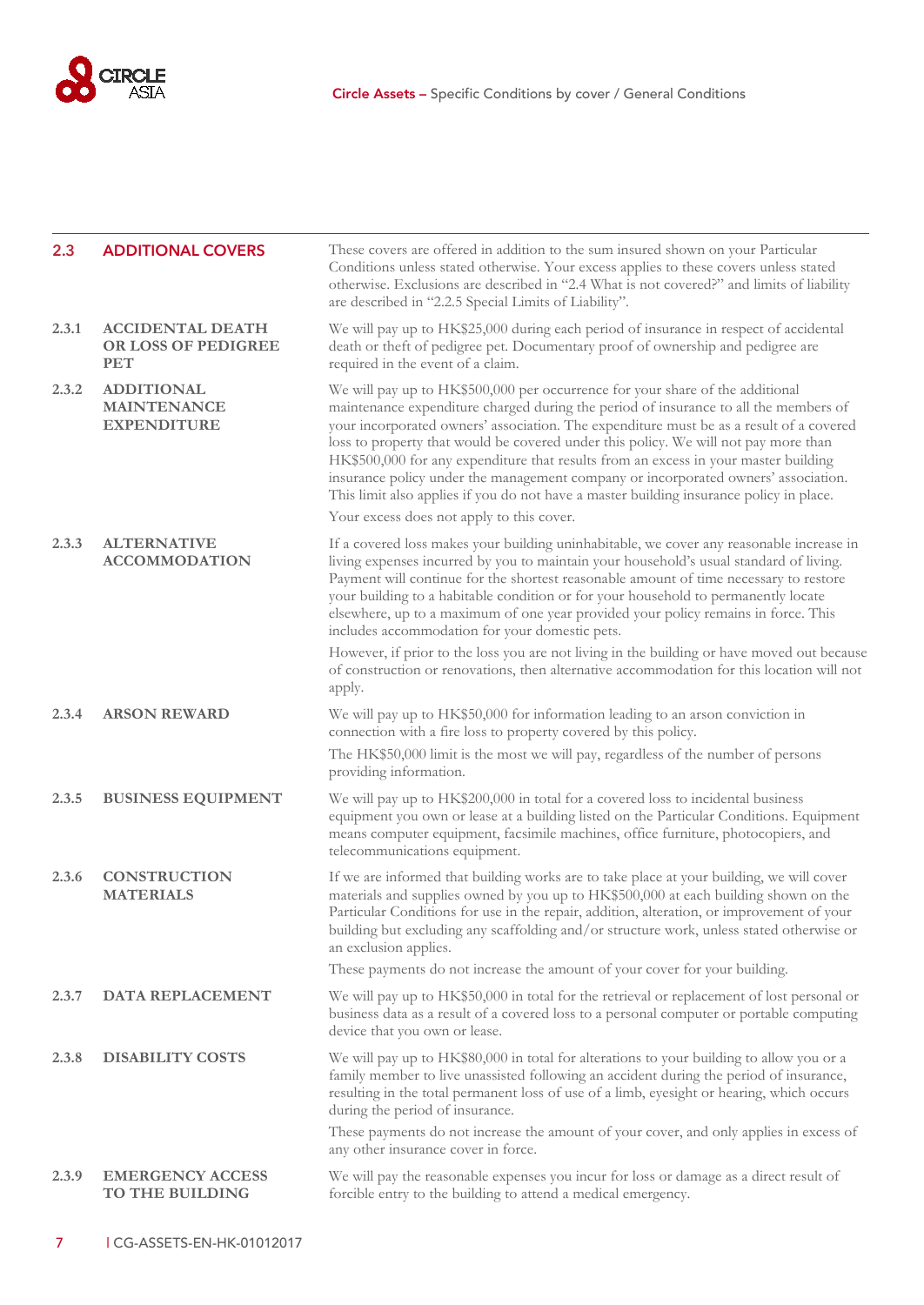

<span id="page-8-0"></span>

| 2.3   | <b>ADDITIONAL COVERS</b>                                      | These covers are offered in addition to the sum insured shown on your Particular<br>Conditions unless stated otherwise. Your excess applies to these covers unless stated<br>otherwise. Exclusions are described in "2.4 What is not covered?" and limits of liability<br>are described in "2.2.5 Special Limits of Liability".                                                                                                                                                                                                                                                                                                 |
|-------|---------------------------------------------------------------|---------------------------------------------------------------------------------------------------------------------------------------------------------------------------------------------------------------------------------------------------------------------------------------------------------------------------------------------------------------------------------------------------------------------------------------------------------------------------------------------------------------------------------------------------------------------------------------------------------------------------------|
| 2.3.1 | <b>ACCIDENTAL DEATH</b><br>OR LOSS OF PEDIGREE<br><b>PET</b>  | We will pay up to HK\$25,000 during each period of insurance in respect of accidental<br>death or theft of pedigree pet. Documentary proof of ownership and pedigree are<br>required in the event of a claim.                                                                                                                                                                                                                                                                                                                                                                                                                   |
| 2.3.2 | <b>ADDITIONAL</b><br><b>MAINTENANCE</b><br><b>EXPENDITURE</b> | We will pay up to HK\$500,000 per occurrence for your share of the additional<br>maintenance expenditure charged during the period of insurance to all the members of<br>your incorporated owners' association. The expenditure must be as a result of a covered<br>loss to property that would be covered under this policy. We will not pay more than<br>HK\$500,000 for any expenditure that results from an excess in your master building<br>insurance policy under the management company or incorporated owners' association.<br>This limit also applies if you do not have a master building insurance policy in place. |
|       |                                                               | Your excess does not apply to this cover.                                                                                                                                                                                                                                                                                                                                                                                                                                                                                                                                                                                       |
| 2.3.3 | <b>ALTERNATIVE</b><br><b>ACCOMMODATION</b>                    | If a covered loss makes your building uninhabitable, we cover any reasonable increase in<br>living expenses incurred by you to maintain your household's usual standard of living.<br>Payment will continue for the shortest reasonable amount of time necessary to restore<br>your building to a habitable condition or for your household to permanently locate<br>elsewhere, up to a maximum of one year provided your policy remains in force. This<br>includes accommodation for your domestic pets.                                                                                                                       |
|       |                                                               | However, if prior to the loss you are not living in the building or have moved out because<br>of construction or renovations, then alternative accommodation for this location will not<br>apply.                                                                                                                                                                                                                                                                                                                                                                                                                               |
| 2.3.4 | <b>ARSON REWARD</b>                                           | We will pay up to HK\$50,000 for information leading to an arson conviction in<br>connection with a fire loss to property covered by this policy.<br>The HK\$50,000 limit is the most we will pay, regardless of the number of persons                                                                                                                                                                                                                                                                                                                                                                                          |
|       |                                                               | providing information.                                                                                                                                                                                                                                                                                                                                                                                                                                                                                                                                                                                                          |
| 2.3.5 | <b>BUSINESS EQUIPMENT</b>                                     | We will pay up to HK\$200,000 in total for a covered loss to incidental business<br>equipment you own or lease at a building listed on the Particular Conditions. Equipment<br>means computer equipment, facsimile machines, office furniture, photocopiers, and<br>telecommunications equipment.                                                                                                                                                                                                                                                                                                                               |
| 2.3.6 | <b>CONSTRUCTION</b><br><b>MATERIALS</b>                       | If we are informed that building works are to take place at your building, we will cover<br>materials and supplies owned by you up to HK\$500,000 at each building shown on the<br>Particular Conditions for use in the repair, addition, alteration, or improvement of your<br>building but excluding any scaffolding and/or structure work, unless stated otherwise or<br>an exclusion applies.                                                                                                                                                                                                                               |
|       |                                                               | These payments do not increase the amount of your cover for your building.                                                                                                                                                                                                                                                                                                                                                                                                                                                                                                                                                      |
| 2.3.7 | DATA REPLACEMENT                                              | We will pay up to HK\$50,000 in total for the retrieval or replacement of lost personal or<br>business data as a result of a covered loss to a personal computer or portable computing<br>device that you own or lease.                                                                                                                                                                                                                                                                                                                                                                                                         |
| 2.3.8 | <b>DISABILITY COSTS</b>                                       | We will pay up to HK\$80,000 in total for alterations to your building to allow you or a<br>family member to live unassisted following an accident during the period of insurance,<br>resulting in the total permanent loss of use of a limb, eyesight or hearing, which occurs<br>during the period of insurance.                                                                                                                                                                                                                                                                                                              |
|       |                                                               | These payments do not increase the amount of your cover, and only applies in excess of<br>any other insurance cover in force.                                                                                                                                                                                                                                                                                                                                                                                                                                                                                                   |
| 2.3.9 | <b>EMERGENCY ACCESS</b><br>TO THE BUILDING                    | We will pay the reasonable expenses you incur for loss or damage as a direct result of<br>forcible entry to the building to attend a medical emergency.                                                                                                                                                                                                                                                                                                                                                                                                                                                                         |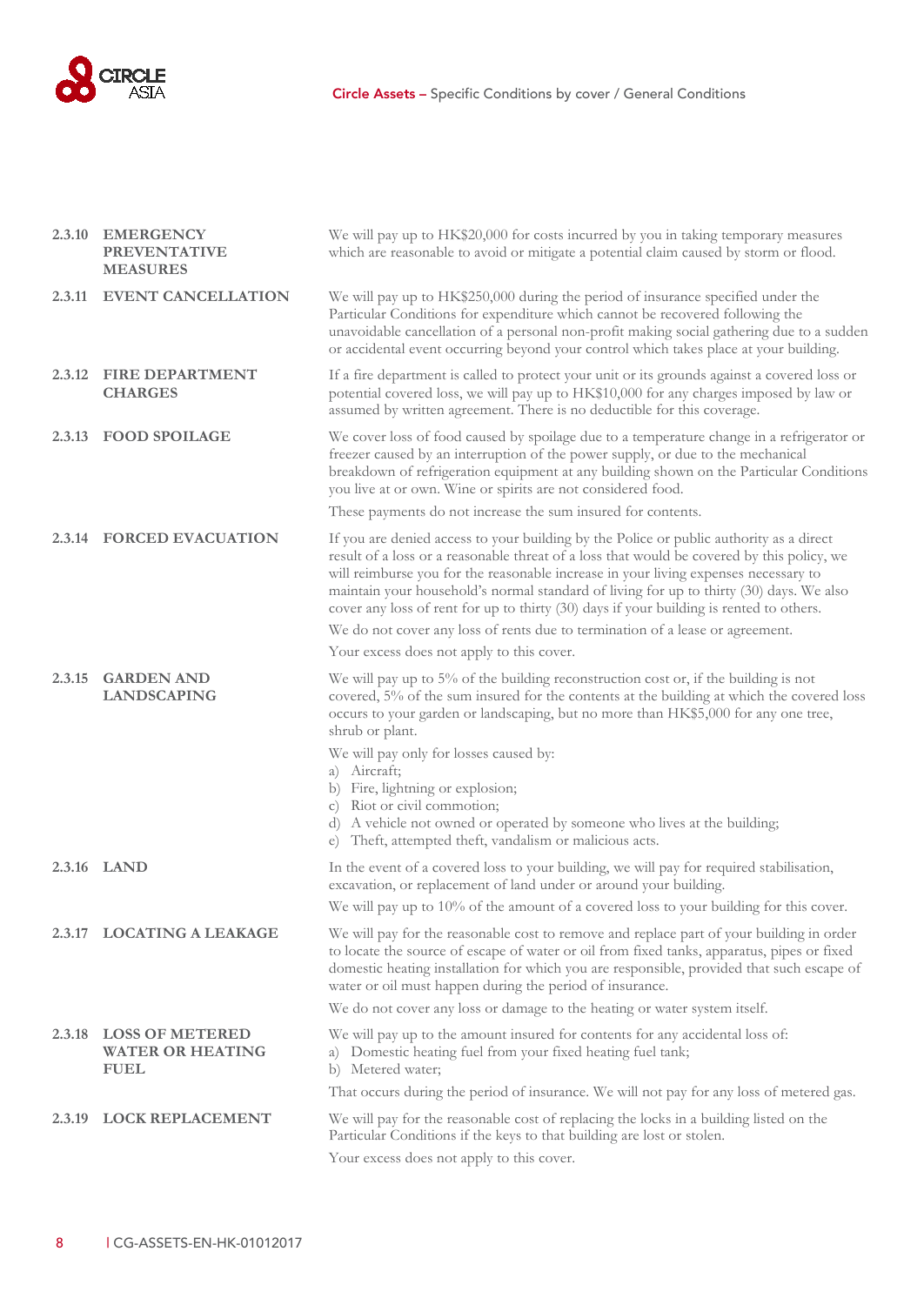

|        | 2.3.10 EMERGENCY<br><b>PREVENTATIVE</b><br><b>MEASURES</b>       | We will pay up to HK\$20,000 for costs incurred by you in taking temporary measures<br>which are reasonable to avoid or mitigate a potential claim caused by storm or flood.                                                                                                                                                                                                                                                                                       |  |
|--------|------------------------------------------------------------------|--------------------------------------------------------------------------------------------------------------------------------------------------------------------------------------------------------------------------------------------------------------------------------------------------------------------------------------------------------------------------------------------------------------------------------------------------------------------|--|
| 2.3.11 | <b>EVENT CANCELLATION</b>                                        | We will pay up to HK\$250,000 during the period of insurance specified under the<br>Particular Conditions for expenditure which cannot be recovered following the<br>unavoidable cancellation of a personal non-profit making social gathering due to a sudden<br>or accidental event occurring beyond your control which takes place at your building.                                                                                                            |  |
|        | 2.3.12 FIRE DEPARTMENT<br><b>CHARGES</b>                         | If a fire department is called to protect your unit or its grounds against a covered loss or<br>potential covered loss, we will pay up to HK\$10,000 for any charges imposed by law or<br>assumed by written agreement. There is no deductible for this coverage.                                                                                                                                                                                                  |  |
| 2.3.13 | <b>FOOD SPOILAGE</b>                                             | We cover loss of food caused by spoilage due to a temperature change in a refrigerator or<br>freezer caused by an interruption of the power supply, or due to the mechanical<br>breakdown of refrigeration equipment at any building shown on the Particular Conditions<br>you live at or own. Wine or spirits are not considered food.                                                                                                                            |  |
|        |                                                                  | These payments do not increase the sum insured for contents.                                                                                                                                                                                                                                                                                                                                                                                                       |  |
|        | 2.3.14 FORCED EVACUATION                                         | If you are denied access to your building by the Police or public authority as a direct<br>result of a loss or a reasonable threat of a loss that would be covered by this policy, we<br>will reimburse you for the reasonable increase in your living expenses necessary to<br>maintain your household's normal standard of living for up to thirty (30) days. We also<br>cover any loss of rent for up to thirty (30) days if your building is rented to others. |  |
|        |                                                                  | We do not cover any loss of rents due to termination of a lease or agreement.                                                                                                                                                                                                                                                                                                                                                                                      |  |
|        |                                                                  | Your excess does not apply to this cover.                                                                                                                                                                                                                                                                                                                                                                                                                          |  |
| 2.3.15 | <b>GARDEN AND</b><br><b>LANDSCAPING</b>                          | We will pay up to 5% of the building reconstruction cost or, if the building is not<br>covered, 5% of the sum insured for the contents at the building at which the covered loss<br>occurs to your garden or landscaping, but no more than HK\$5,000 for any one tree,<br>shrub or plant.                                                                                                                                                                          |  |
|        |                                                                  | We will pay only for losses caused by:                                                                                                                                                                                                                                                                                                                                                                                                                             |  |
|        |                                                                  | a) Aircraft;                                                                                                                                                                                                                                                                                                                                                                                                                                                       |  |
|        |                                                                  | b) Fire, lightning or explosion;<br>c) Riot or civil commotion;                                                                                                                                                                                                                                                                                                                                                                                                    |  |
|        |                                                                  | d) A vehicle not owned or operated by someone who lives at the building;<br>e) Theft, attempted theft, vandalism or malicious acts.                                                                                                                                                                                                                                                                                                                                |  |
|        | 2.3.16 LAND                                                      | In the event of a covered loss to your building, we will pay for required stabilisation,<br>excavation, or replacement of land under or around your building.                                                                                                                                                                                                                                                                                                      |  |
|        |                                                                  | We will pay up to 10% of the amount of a covered loss to your building for this cover.                                                                                                                                                                                                                                                                                                                                                                             |  |
|        | 2.3.17 LOCATING A LEAKAGE                                        | We will pay for the reasonable cost to remove and replace part of your building in order<br>to locate the source of escape of water or oil from fixed tanks, apparatus, pipes or fixed<br>domestic heating installation for which you are responsible, provided that such escape of<br>water or oil must happen during the period of insurance.                                                                                                                    |  |
|        |                                                                  | We do not cover any loss or damage to the heating or water system itself.                                                                                                                                                                                                                                                                                                                                                                                          |  |
| 2.3.18 | <b>LOSS OF METERED</b><br><b>WATER OR HEATING</b><br><b>FUEL</b> | We will pay up to the amount insured for contents for any accidental loss of:<br>a) Domestic heating fuel from your fixed heating fuel tank;<br>b) Metered water;                                                                                                                                                                                                                                                                                                  |  |
|        |                                                                  | That occurs during the period of insurance. We will not pay for any loss of metered gas.                                                                                                                                                                                                                                                                                                                                                                           |  |
| 2.3.19 | <b>LOCK REPLACEMENT</b>                                          | We will pay for the reasonable cost of replacing the locks in a building listed on the<br>Particular Conditions if the keys to that building are lost or stolen.                                                                                                                                                                                                                                                                                                   |  |
|        |                                                                  | Your excess does not apply to this cover.                                                                                                                                                                                                                                                                                                                                                                                                                          |  |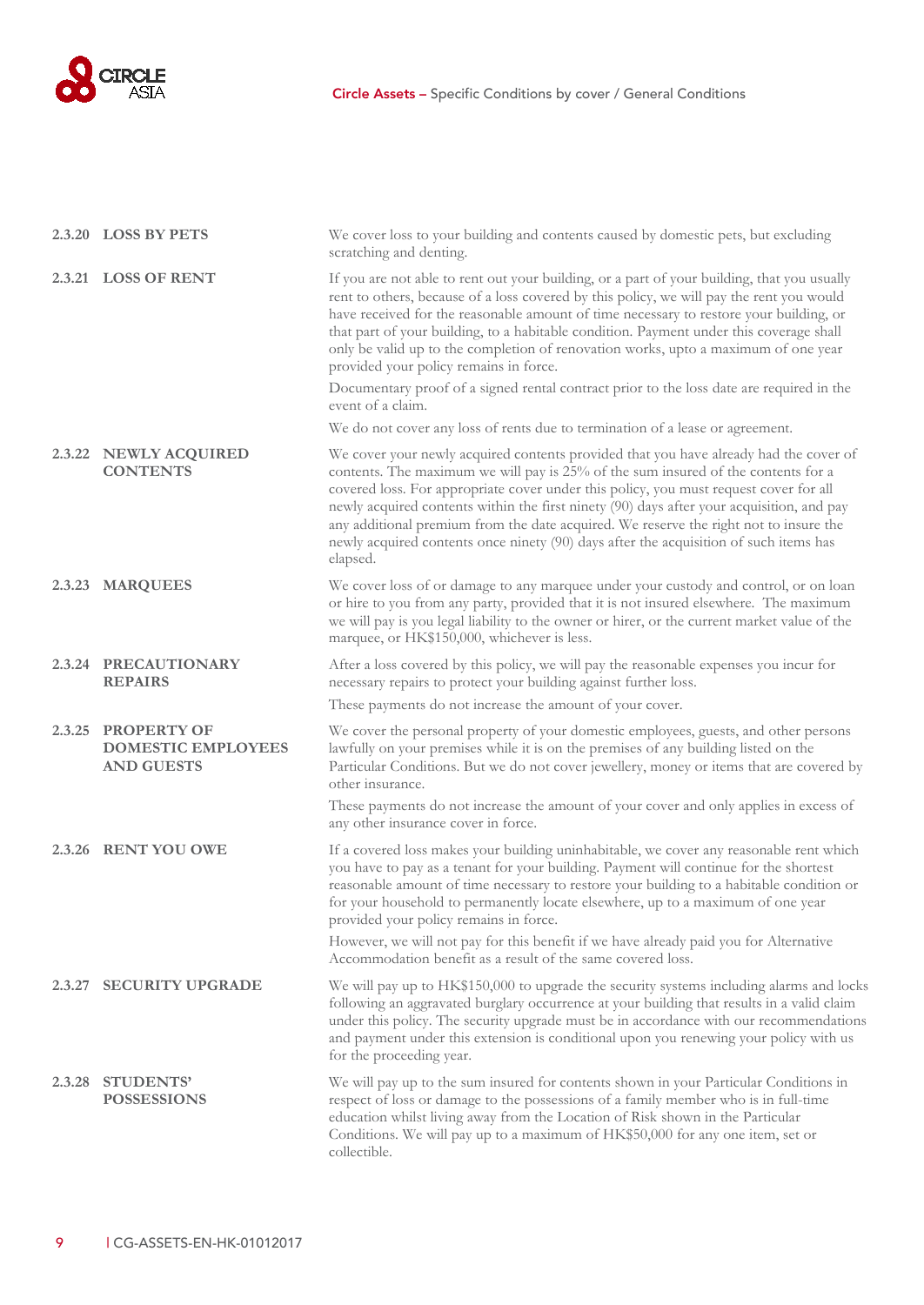

|        | 2.3.20 LOSS BY PETS                                                  | We cover loss to your building and contents caused by domestic pets, but excluding<br>scratching and denting.                                                                                                                                                                                                                                                                                                                                                                                                                                                  |
|--------|----------------------------------------------------------------------|----------------------------------------------------------------------------------------------------------------------------------------------------------------------------------------------------------------------------------------------------------------------------------------------------------------------------------------------------------------------------------------------------------------------------------------------------------------------------------------------------------------------------------------------------------------|
|        | 2.3.21 LOSS OF RENT                                                  | If you are not able to rent out your building, or a part of your building, that you usually<br>rent to others, because of a loss covered by this policy, we will pay the rent you would<br>have received for the reasonable amount of time necessary to restore your building, or<br>that part of your building, to a habitable condition. Payment under this coverage shall<br>only be valid up to the completion of renovation works, upto a maximum of one year<br>provided your policy remains in force.                                                   |
|        |                                                                      | Documentary proof of a signed rental contract prior to the loss date are required in the<br>event of a claim.                                                                                                                                                                                                                                                                                                                                                                                                                                                  |
|        |                                                                      | We do not cover any loss of rents due to termination of a lease or agreement.                                                                                                                                                                                                                                                                                                                                                                                                                                                                                  |
|        | 2.3.22 NEWLY ACQUIRED<br><b>CONTENTS</b>                             | We cover your newly acquired contents provided that you have already had the cover of<br>contents. The maximum we will pay is 25% of the sum insured of the contents for a<br>covered loss. For appropriate cover under this policy, you must request cover for all<br>newly acquired contents within the first ninety (90) days after your acquisition, and pay<br>any additional premium from the date acquired. We reserve the right not to insure the<br>newly acquired contents once ninety (90) days after the acquisition of such items has<br>elapsed. |
|        | 2.3.23 MARQUEES                                                      | We cover loss of or damage to any marquee under your custody and control, or on loan<br>or hire to you from any party, provided that it is not insured elsewhere. The maximum<br>we will pay is you legal liability to the owner or hirer, or the current market value of the<br>marquee, or HK\$150,000, whichever is less.                                                                                                                                                                                                                                   |
|        | 2.3.24 PRECAUTIONARY<br><b>REPAIRS</b>                               | After a loss covered by this policy, we will pay the reasonable expenses you incur for<br>necessary repairs to protect your building against further loss.<br>These payments do not increase the amount of your cover.                                                                                                                                                                                                                                                                                                                                         |
| 2.3.25 | <b>PROPERTY OF</b><br><b>DOMESTIC EMPLOYEES</b><br><b>AND GUESTS</b> | We cover the personal property of your domestic employees, guests, and other persons<br>lawfully on your premises while it is on the premises of any building listed on the<br>Particular Conditions. But we do not cover jewellery, money or items that are covered by<br>other insurance.                                                                                                                                                                                                                                                                    |
|        |                                                                      | These payments do not increase the amount of your cover and only applies in excess of<br>any other insurance cover in force.                                                                                                                                                                                                                                                                                                                                                                                                                                   |
|        | 2.3.26 RENT YOU OWE                                                  | If a covered loss makes your building uninhabitable, we cover any reasonable rent which<br>you have to pay as a tenant for your building. Payment will continue for the shortest<br>reasonable amount of time necessary to restore your building to a habitable condition or<br>for your household to permanently locate elsewhere, up to a maximum of one year<br>provided your policy remains in force.<br>However, we will not pay for this benefit if we have already paid you for Alternative                                                             |
|        |                                                                      | Accommodation benefit as a result of the same covered loss.                                                                                                                                                                                                                                                                                                                                                                                                                                                                                                    |
| 2.3.27 | <b>SECURITY UPGRADE</b>                                              | We will pay up to HK\$150,000 to upgrade the security systems including alarms and locks<br>following an aggravated burglary occurrence at your building that results in a valid claim<br>under this policy. The security upgrade must be in accordance with our recommendations<br>and payment under this extension is conditional upon you renewing your policy with us<br>for the proceeding year.                                                                                                                                                          |
| 2.3.28 | <b>STUDENTS'</b><br><b>POSSESSIONS</b>                               | We will pay up to the sum insured for contents shown in your Particular Conditions in<br>respect of loss or damage to the possessions of a family member who is in full-time<br>education whilst living away from the Location of Risk shown in the Particular<br>Conditions. We will pay up to a maximum of HK\$50,000 for any one item, set or<br>collectible.                                                                                                                                                                                               |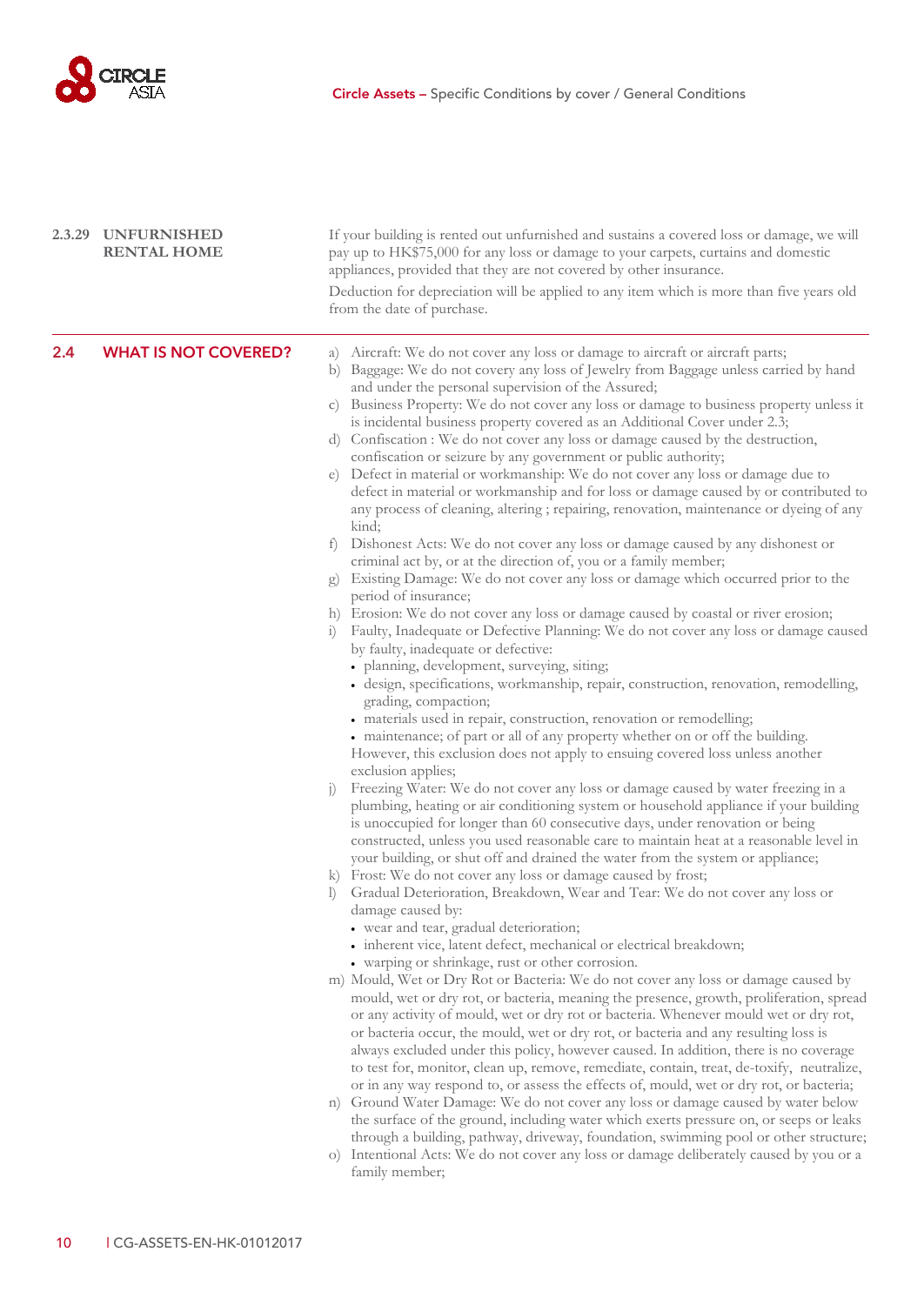

<span id="page-11-0"></span>

|     | 2.3.29 UNFURNISHED<br><b>RENTAL HOME</b> | If your building is rented out unfurnished and sustains a covered loss or damage, we will<br>pay up to HK\$75,000 for any loss or damage to your carpets, curtains and domestic<br>appliances, provided that they are not covered by other insurance.<br>Deduction for depreciation will be applied to any item which is more than five years old<br>from the date of purchase.                                                                                                                                                                                                                                                                                                                                                                                                                                                                                                                                                                                                                                                                                                                                                                                                                                                                                                                                                                                                                                                                                                                                                                                                                                                                                                                                                                                                                                                                                                                                                                                                                                                                                                                                                                                                                                                                                                                                                                                                                                                                                                                                                                                                                                                                                                                                                                                                                                                                                                                                                                                                                                                                                                                                                                                                                                                                                                                                                                                                                                                                                                                                                                                                                                                    |
|-----|------------------------------------------|------------------------------------------------------------------------------------------------------------------------------------------------------------------------------------------------------------------------------------------------------------------------------------------------------------------------------------------------------------------------------------------------------------------------------------------------------------------------------------------------------------------------------------------------------------------------------------------------------------------------------------------------------------------------------------------------------------------------------------------------------------------------------------------------------------------------------------------------------------------------------------------------------------------------------------------------------------------------------------------------------------------------------------------------------------------------------------------------------------------------------------------------------------------------------------------------------------------------------------------------------------------------------------------------------------------------------------------------------------------------------------------------------------------------------------------------------------------------------------------------------------------------------------------------------------------------------------------------------------------------------------------------------------------------------------------------------------------------------------------------------------------------------------------------------------------------------------------------------------------------------------------------------------------------------------------------------------------------------------------------------------------------------------------------------------------------------------------------------------------------------------------------------------------------------------------------------------------------------------------------------------------------------------------------------------------------------------------------------------------------------------------------------------------------------------------------------------------------------------------------------------------------------------------------------------------------------------------------------------------------------------------------------------------------------------------------------------------------------------------------------------------------------------------------------------------------------------------------------------------------------------------------------------------------------------------------------------------------------------------------------------------------------------------------------------------------------------------------------------------------------------------------------------------------------------------------------------------------------------------------------------------------------------------------------------------------------------------------------------------------------------------------------------------------------------------------------------------------------------------------------------------------------------------------------------------------------------------------------------------------------------|
| 2.4 | <b>WHAT IS NOT COVERED?</b>              | a) Aircraft: We do not cover any loss or damage to aircraft or aircraft parts;<br>b) Baggage: We do not covery any loss of Jewelry from Baggage unless carried by hand<br>and under the personal supervision of the Assured;<br>c) Business Property: We do not cover any loss or damage to business property unless it<br>is incidental business property covered as an Additional Cover under 2.3;<br>d) Confiscation : We do not cover any loss or damage caused by the destruction,<br>confiscation or seizure by any government or public authority;<br>e) Defect in material or workmanship: We do not cover any loss or damage due to<br>defect in material or workmanship and for loss or damage caused by or contributed to<br>any process of cleaning, altering ; repairing, renovation, maintenance or dyeing of any<br>kind;<br>f) Dishonest Acts: We do not cover any loss or damage caused by any dishonest or<br>criminal act by, or at the direction of, you or a family member;<br>Existing Damage: We do not cover any loss or damage which occurred prior to the<br>g)<br>period of insurance;<br>h) Erosion: We do not cover any loss or damage caused by coastal or river erosion;<br>Faulty, Inadequate or Defective Planning: We do not cover any loss or damage caused<br>$\left( \frac{1}{2} \right)$<br>by faulty, inadequate or defective:<br>· planning, development, surveying, siting;<br>· design, specifications, workmanship, repair, construction, renovation, remodelling,<br>grading, compaction;<br>· materials used in repair, construction, renovation or remodelling;<br>• maintenance; of part or all of any property whether on or off the building.<br>However, this exclusion does not apply to ensuing covered loss unless another<br>exclusion applies;<br>Freezing Water: We do not cover any loss or damage caused by water freezing in a<br>1)<br>plumbing, heating or air conditioning system or household appliance if your building<br>is unoccupied for longer than 60 consecutive days, under renovation or being<br>constructed, unless you used reasonable care to maintain heat at a reasonable level in<br>your building, or shut off and drained the water from the system or appliance;<br>k) Frost: We do not cover any loss or damage caused by frost;<br>Gradual Deterioration, Breakdown, Wear and Tear: We do not cover any loss or<br>damage caused by:<br>• wear and tear, gradual deterioration;<br>• inherent vice, latent defect, mechanical or electrical breakdown;<br>• warping or shrinkage, rust or other corrosion.<br>m) Mould, Wet or Dry Rot or Bacteria: We do not cover any loss or damage caused by<br>mould, wet or dry rot, or bacteria, meaning the presence, growth, proliferation, spread<br>or any activity of mould, wet or dry rot or bacteria. Whenever mould wet or dry rot,<br>or bacteria occur, the mould, wet or dry rot, or bacteria and any resulting loss is<br>always excluded under this policy, however caused. In addition, there is no coverage<br>to test for, monitor, clean up, remove, remediate, contain, treat, de-toxify, neutralize,<br>or in any way respond to, or assess the effects of, mould, wet or dry rot, or bacteria;<br>n) Ground Water Damage: We do not cover any loss or damage caused by water below<br>the surface of the ground, including water which exerts pressure on, or seeps or leaks<br>through a building, pathway, driveway, foundation, swimming pool or other structure;<br>o) Intentional Acts: We do not cover any loss or damage deliberately caused by you or a<br>family member; |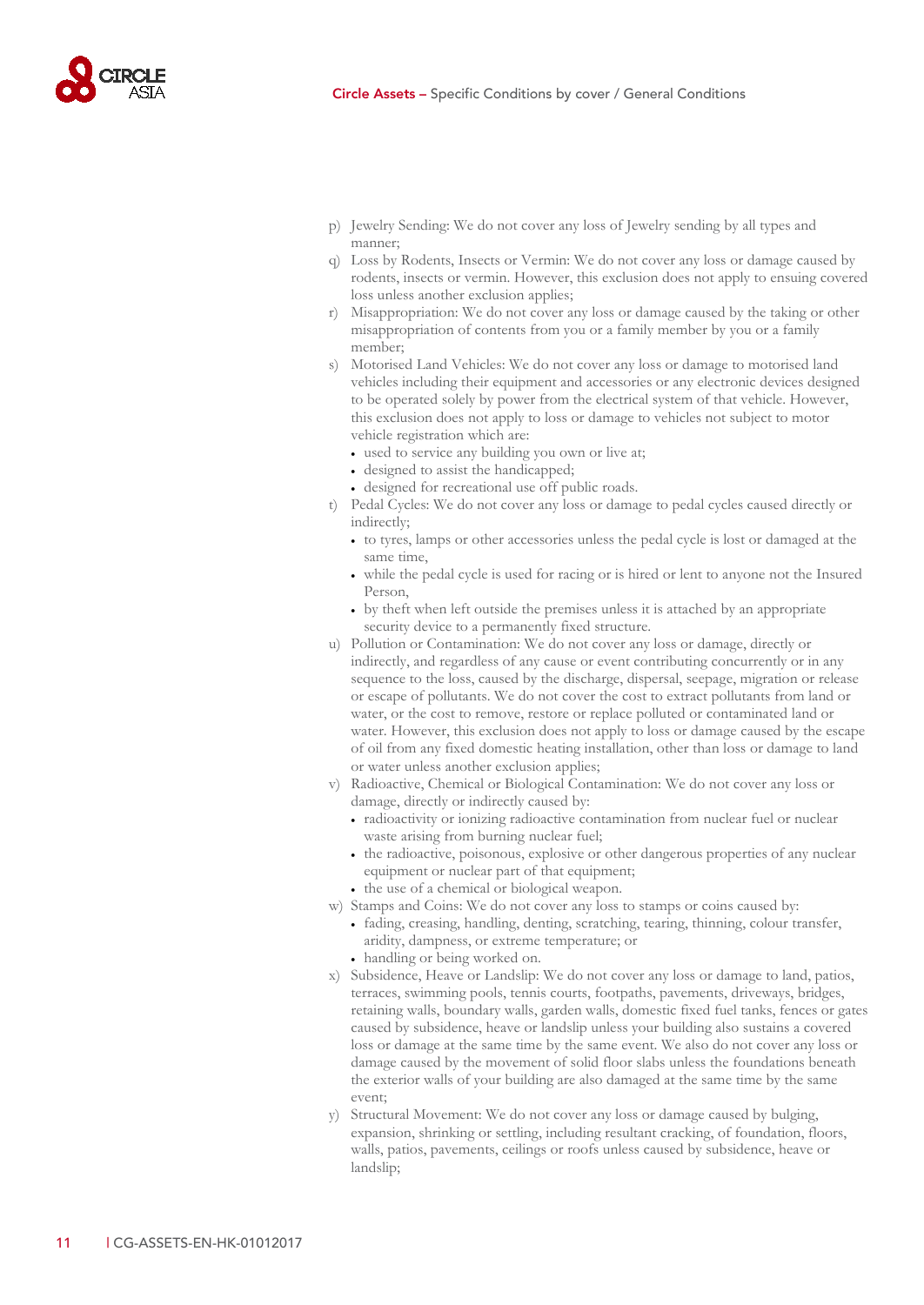

- p) Jewelry Sending: We do not cover any loss of Jewelry sending by all types and manner;
- q) Loss by Rodents, Insects or Vermin: We do not cover any loss or damage caused by rodents, insects or vermin. However, this exclusion does not apply to ensuing covered loss unless another exclusion applies;
- r) Misappropriation: We do not cover any loss or damage caused by the taking or other misappropriation of contents from you or a family member by you or a family member;
- s) Motorised Land Vehicles: We do not cover any loss or damage to motorised land vehicles including their equipment and accessories or any electronic devices designed to be operated solely by power from the electrical system of that vehicle. However, this exclusion does not apply to loss or damage to vehicles not subject to motor vehicle registration which are:
	- used to service any building you own or live at;
	- designed to assist the handicapped;
	- designed for recreational use off public roads.
- t) Pedal Cycles: We do not cover any loss or damage to pedal cycles caused directly or indirectly;
	- to tyres, lamps or other accessories unless the pedal cycle is lost or damaged at the same time,
	- while the pedal cycle is used for racing or is hired or lent to anyone not the Insured Person,
	- by theft when left outside the premises unless it is attached by an appropriate security device to a permanently fixed structure.
- u) Pollution or Contamination: We do not cover any loss or damage, directly or indirectly, and regardless of any cause or event contributing concurrently or in any sequence to the loss, caused by the discharge, dispersal, seepage, migration or release or escape of pollutants. We do not cover the cost to extract pollutants from land or water, or the cost to remove, restore or replace polluted or contaminated land or water. However, this exclusion does not apply to loss or damage caused by the escape of oil from any fixed domestic heating installation, other than loss or damage to land or water unless another exclusion applies;
- v) Radioactive, Chemical or Biological Contamination: We do not cover any loss or damage, directly or indirectly caused by:
	- radioactivity or ionizing radioactive contamination from nuclear fuel or nuclear waste arising from burning nuclear fuel;
	- the radioactive, poisonous, explosive or other dangerous properties of any nuclear equipment or nuclear part of that equipment;
	- the use of a chemical or biological weapon.
- w) Stamps and Coins: We do not cover any loss to stamps or coins caused by:
	- fading, creasing, handling, denting, scratching, tearing, thinning, colour transfer, aridity, dampness, or extreme temperature; or
	- handling or being worked on.
- x) Subsidence, Heave or Landslip: We do not cover any loss or damage to land, patios, terraces, swimming pools, tennis courts, footpaths, pavements, driveways, bridges, retaining walls, boundary walls, garden walls, domestic fixed fuel tanks, fences or gates caused by subsidence, heave or landslip unless your building also sustains a covered loss or damage at the same time by the same event. We also do not cover any loss or damage caused by the movement of solid floor slabs unless the foundations beneath the exterior walls of your building are also damaged at the same time by the same event;
- y) Structural Movement: We do not cover any loss or damage caused by bulging, expansion, shrinking or settling, including resultant cracking, of foundation, floors, walls, patios, pavements, ceilings or roofs unless caused by subsidence, heave or landslip;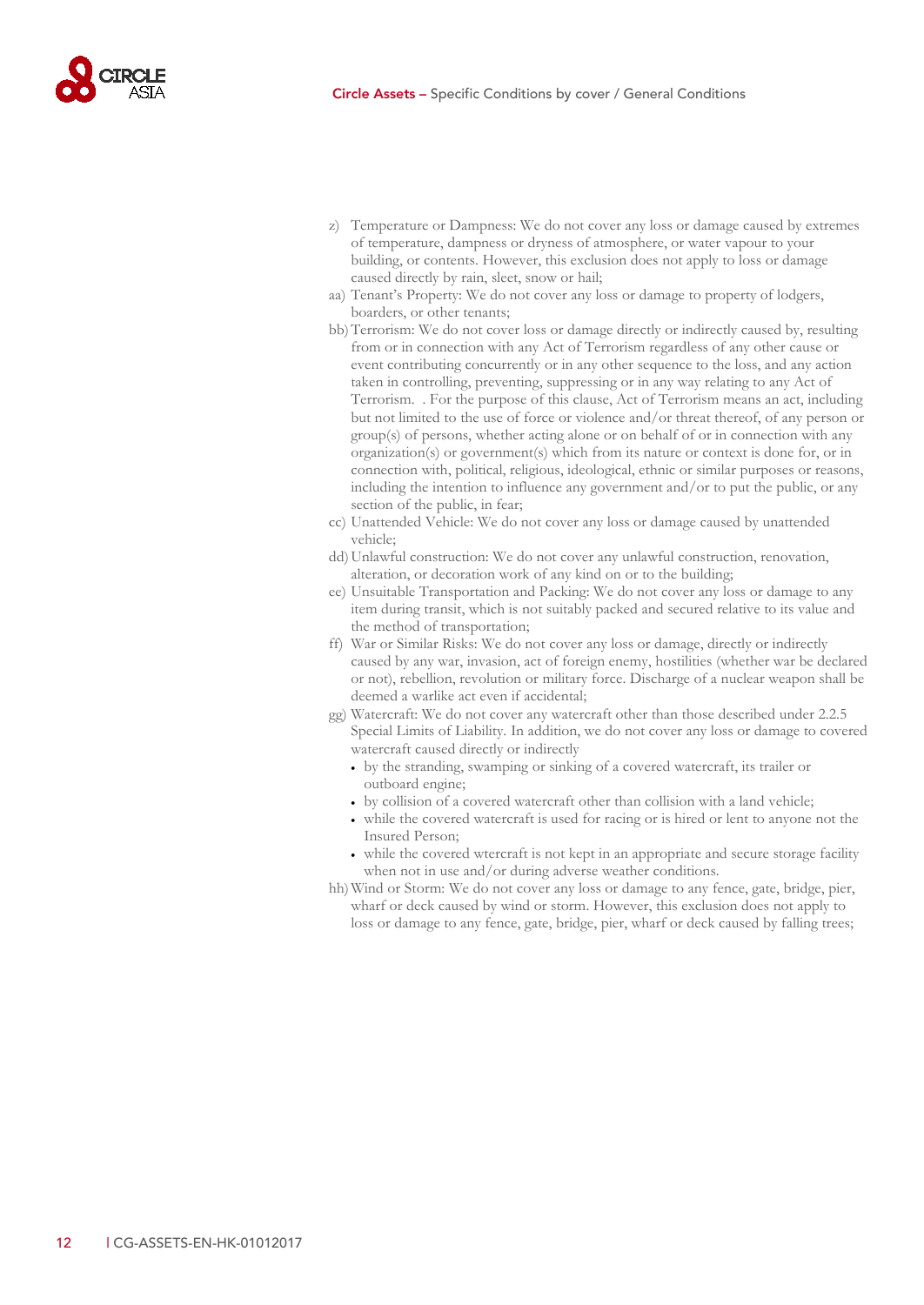

- z) Temperature or Dampness: We do not cover any loss or damage caused by extremes of temperature, dampness or dryness of atmosphere, or water vapour to your building, or contents. However, this exclusion does not apply to loss or damage caused directly by rain, sleet, snow or hail;
- aa) Tenant's Property: We do not cover any loss or damage to property of lodgers, boarders, or other tenants;
- bb)Terrorism: We do not cover loss or damage directly or indirectly caused by, resulting from or in connection with any Act of Terrorism regardless of any other cause or event contributing concurrently or in any other sequence to the loss, and any action taken in controlling, preventing, suppressing or in any way relating to any Act of Terrorism. . For the purpose of this clause, Act of Terrorism means an act, including but not limited to the use of force or violence and/or threat thereof, of any person or group(s) of persons, whether acting alone or on behalf of or in connection with any organization(s) or government(s) which from its nature or context is done for, or in connection with, political, religious, ideological, ethnic or similar purposes or reasons, including the intention to influence any government and/or to put the public, or any section of the public, in fear;
- cc) Unattended Vehicle: We do not cover any loss or damage caused by unattended vehicle;
- dd) Unlawful construction: We do not cover any unlawful construction, renovation, alteration, or decoration work of any kind on or to the building;
- ee) Unsuitable Transportation and Packing: We do not cover any loss or damage to any item during transit, which is not suitably packed and secured relative to its value and the method of transportation;
- ff) War or Similar Risks: We do not cover any loss or damage, directly or indirectly caused by any war, invasion, act of foreign enemy, hostilities (whether war be declared or not), rebellion, revolution or military force. Discharge of a nuclear weapon shall be deemed a warlike act even if accidental;
- gg) Watercraft: We do not cover any watercraft other than those described unde[r 2.2.5](#page-7-0) Special Limits of Liability. In addition, we do not cover any loss or damage to covered watercraft caused directly or indirectly
	- by the stranding, swamping or sinking of a covered watercraft, its trailer or outboard engine;
	- by collision of a covered watercraft other than collision with a land vehicle;
	- while the covered watercraft is used for racing or is hired or lent to anyone not the Insured Person;
	- while the covered wtercraft is not kept in an appropriate and secure storage facility when not in use and/or during adverse weather conditions.
- hh)Wind or Storm: We do not cover any loss or damage to any fence, gate, bridge, pier, wharf or deck caused by wind or storm. However, this exclusion does not apply to loss or damage to any fence, gate, bridge, pier, wharf or deck caused by falling trees;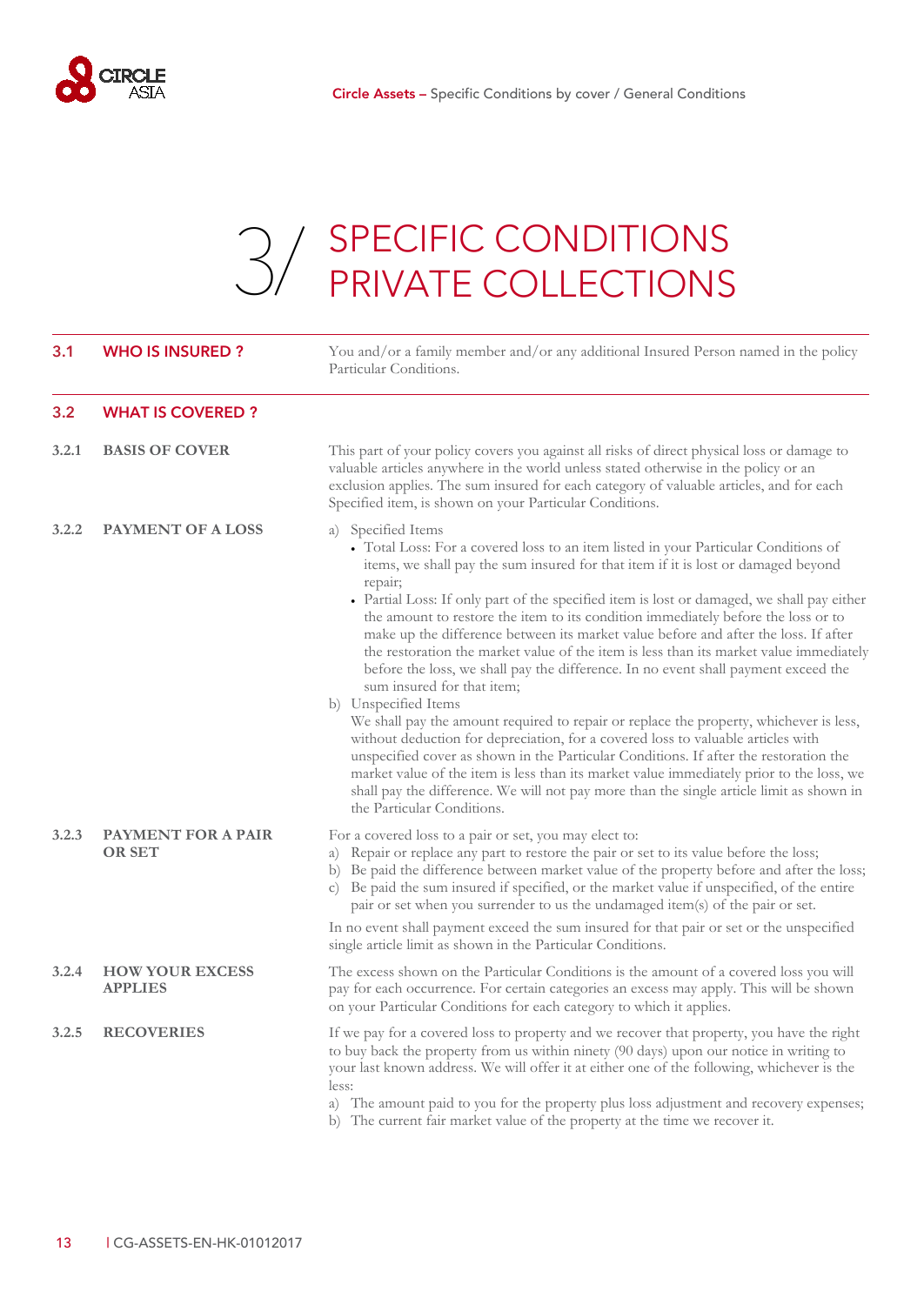

### 3. SPECIFIC CONDITIONS [3/](#page-14-0) SPECIFIC CONDITIONS<br>PRIVATE COLLECTIONS

<span id="page-14-2"></span><span id="page-14-1"></span><span id="page-14-0"></span>

| 3.1   | <b>WHO IS INSURED?</b>                     | You and/or a family member and/or any additional Insured Person named in the policy<br>Particular Conditions.                                                                                                                                                                                                                                                                                                                                                                                                                                                                                                                                                                                                                                                                                                                                                                                                                                                                                                                                                                                                                                                                                                          |
|-------|--------------------------------------------|------------------------------------------------------------------------------------------------------------------------------------------------------------------------------------------------------------------------------------------------------------------------------------------------------------------------------------------------------------------------------------------------------------------------------------------------------------------------------------------------------------------------------------------------------------------------------------------------------------------------------------------------------------------------------------------------------------------------------------------------------------------------------------------------------------------------------------------------------------------------------------------------------------------------------------------------------------------------------------------------------------------------------------------------------------------------------------------------------------------------------------------------------------------------------------------------------------------------|
| 3.2   | <b>WHAT IS COVERED?</b>                    |                                                                                                                                                                                                                                                                                                                                                                                                                                                                                                                                                                                                                                                                                                                                                                                                                                                                                                                                                                                                                                                                                                                                                                                                                        |
| 3.2.1 | <b>BASIS OF COVER</b>                      | This part of your policy covers you against all risks of direct physical loss or damage to<br>valuable articles anywhere in the world unless stated otherwise in the policy or an<br>exclusion applies. The sum insured for each category of valuable articles, and for each<br>Specified item, is shown on your Particular Conditions.                                                                                                                                                                                                                                                                                                                                                                                                                                                                                                                                                                                                                                                                                                                                                                                                                                                                                |
| 3.2.2 | <b>PAYMENT OF A LOSS</b>                   | a) Specified Items<br>• Total Loss: For a covered loss to an item listed in your Particular Conditions of<br>items, we shall pay the sum insured for that item if it is lost or damaged beyond<br>repair;<br>• Partial Loss: If only part of the specified item is lost or damaged, we shall pay either<br>the amount to restore the item to its condition immediately before the loss or to<br>make up the difference between its market value before and after the loss. If after<br>the restoration the market value of the item is less than its market value immediately<br>before the loss, we shall pay the difference. In no event shall payment exceed the<br>sum insured for that item;<br>b) Unspecified Items<br>We shall pay the amount required to repair or replace the property, whichever is less,<br>without deduction for depreciation, for a covered loss to valuable articles with<br>unspecified cover as shown in the Particular Conditions. If after the restoration the<br>market value of the item is less than its market value immediately prior to the loss, we<br>shall pay the difference. We will not pay more than the single article limit as shown in<br>the Particular Conditions. |
| 3.2.3 | <b>PAYMENT FOR A PAIR</b><br><b>OR SET</b> | For a covered loss to a pair or set, you may elect to:<br>Repair or replace any part to restore the pair or set to its value before the loss;<br>a)<br>b) Be paid the difference between market value of the property before and after the loss;<br>c) Be paid the sum insured if specified, or the market value if unspecified, of the entire<br>pair or set when you surrender to us the undamaged item(s) of the pair or set.<br>In no event shall payment exceed the sum insured for that pair or set or the unspecified                                                                                                                                                                                                                                                                                                                                                                                                                                                                                                                                                                                                                                                                                           |
| 3.2.4 | <b>HOW YOUR EXCESS</b><br><b>APPLIES</b>   | single article limit as shown in the Particular Conditions.<br>The excess shown on the Particular Conditions is the amount of a covered loss you will<br>pay for each occurrence. For certain categories an excess may apply. This will be shown<br>on your Particular Conditions for each category to which it applies.                                                                                                                                                                                                                                                                                                                                                                                                                                                                                                                                                                                                                                                                                                                                                                                                                                                                                               |
| 3.2.5 | <b>RECOVERIES</b>                          | If we pay for a covered loss to property and we recover that property, you have the right<br>to buy back the property from us within ninety (90 days) upon our notice in writing to<br>your last known address. We will offer it at either one of the following, whichever is the<br>less:<br>a) The amount paid to you for the property plus loss adjustment and recovery expenses;<br>b) The current fair market value of the property at the time we recover it.                                                                                                                                                                                                                                                                                                                                                                                                                                                                                                                                                                                                                                                                                                                                                    |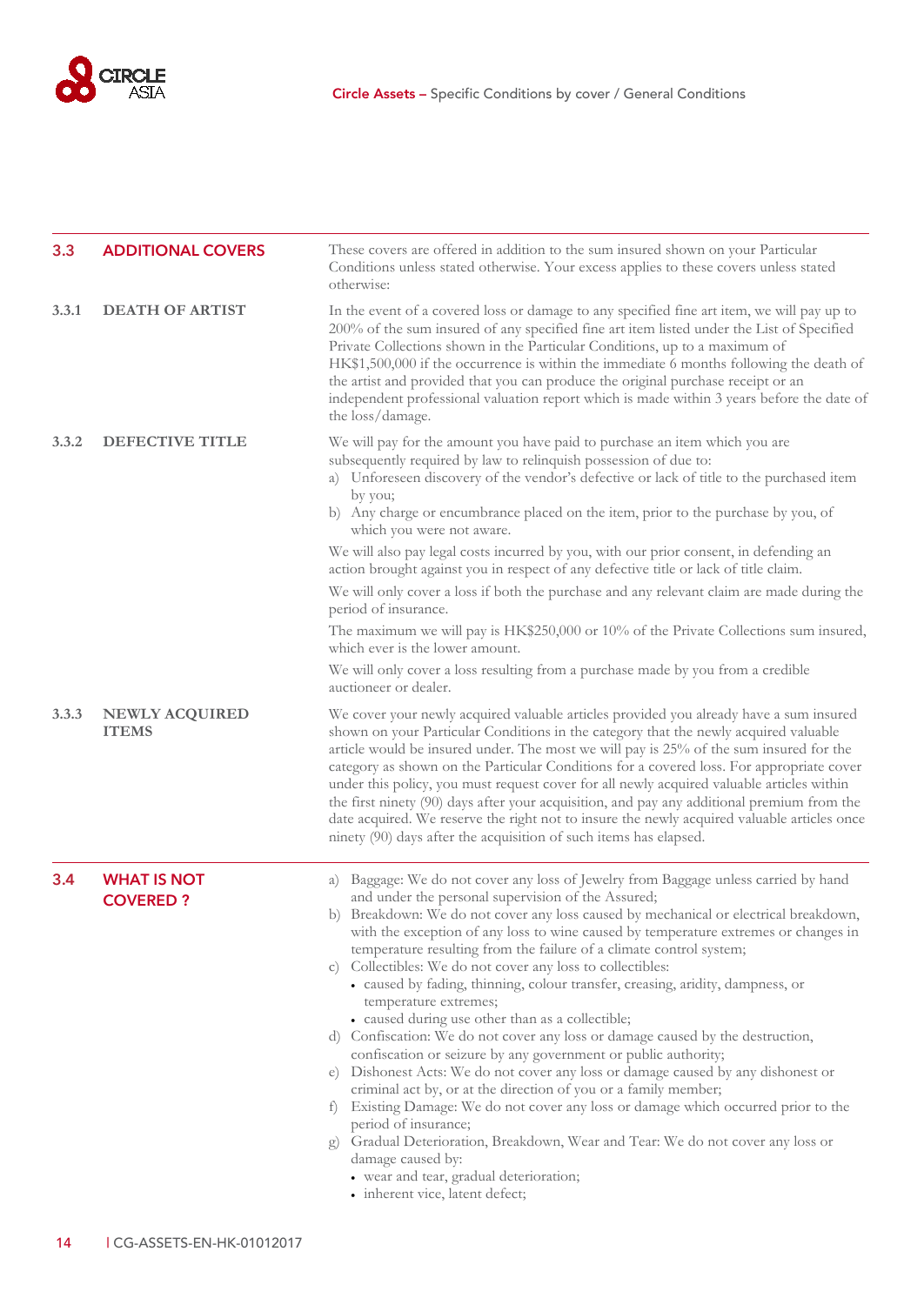

<span id="page-15-1"></span><span id="page-15-0"></span>

| 3.3   | <b>ADDITIONAL COVERS</b>              | These covers are offered in addition to the sum insured shown on your Particular<br>Conditions unless stated otherwise. Your excess applies to these covers unless stated<br>otherwise:                                                                                                                                                                                                                                                                                                                                                                                                                                                                                                                                                                                                                                                                                                                                                                                                                                                                                                                                                                                                                                                        |  |
|-------|---------------------------------------|------------------------------------------------------------------------------------------------------------------------------------------------------------------------------------------------------------------------------------------------------------------------------------------------------------------------------------------------------------------------------------------------------------------------------------------------------------------------------------------------------------------------------------------------------------------------------------------------------------------------------------------------------------------------------------------------------------------------------------------------------------------------------------------------------------------------------------------------------------------------------------------------------------------------------------------------------------------------------------------------------------------------------------------------------------------------------------------------------------------------------------------------------------------------------------------------------------------------------------------------|--|
| 3.3.1 | <b>DEATH OF ARTIST</b>                | In the event of a covered loss or damage to any specified fine art item, we will pay up to<br>200% of the sum insured of any specified fine art item listed under the List of Specified<br>Private Collections shown in the Particular Conditions, up to a maximum of<br>HK\$1,500,000 if the occurrence is within the immediate 6 months following the death of<br>the artist and provided that you can produce the original purchase receipt or an<br>independent professional valuation report which is made within 3 years before the date of<br>the loss/damage.                                                                                                                                                                                                                                                                                                                                                                                                                                                                                                                                                                                                                                                                          |  |
| 3.3.2 | <b>DEFECTIVE TITLE</b>                | We will pay for the amount you have paid to purchase an item which you are<br>subsequently required by law to relinquish possession of due to:<br>a) Unforeseen discovery of the vendor's defective or lack of title to the purchased item<br>by you;<br>b) Any charge or encumbrance placed on the item, prior to the purchase by you, of<br>which you were not aware.<br>We will also pay legal costs incurred by you, with our prior consent, in defending an<br>action brought against you in respect of any defective title or lack of title claim.<br>We will only cover a loss if both the purchase and any relevant claim are made during the<br>period of insurance.                                                                                                                                                                                                                                                                                                                                                                                                                                                                                                                                                                  |  |
|       |                                       | The maximum we will pay is $HK$250,000$ or 10% of the Private Collections sum insured,<br>which ever is the lower amount.                                                                                                                                                                                                                                                                                                                                                                                                                                                                                                                                                                                                                                                                                                                                                                                                                                                                                                                                                                                                                                                                                                                      |  |
|       |                                       | We will only cover a loss resulting from a purchase made by you from a credible<br>auctioneer or dealer.                                                                                                                                                                                                                                                                                                                                                                                                                                                                                                                                                                                                                                                                                                                                                                                                                                                                                                                                                                                                                                                                                                                                       |  |
| 3.3.3 | NEWLY ACQUIRED<br><b>ITEMS</b>        | We cover your newly acquired valuable articles provided you already have a sum insured<br>shown on your Particular Conditions in the category that the newly acquired valuable<br>article would be insured under. The most we will pay is 25% of the sum insured for the<br>category as shown on the Particular Conditions for a covered loss. For appropriate cover<br>under this policy, you must request cover for all newly acquired valuable articles within<br>the first ninety (90) days after your acquisition, and pay any additional premium from the<br>date acquired. We reserve the right not to insure the newly acquired valuable articles once<br>ninety (90) days after the acquisition of such items has elapsed.                                                                                                                                                                                                                                                                                                                                                                                                                                                                                                            |  |
| 3.4   | <b>WHAT IS NOT</b><br><b>COVERED?</b> | a) Baggage: We do not cover any loss of Jewelry from Baggage unless carried by hand<br>and under the personal supervision of the Assured;<br>b) Breakdown: We do not cover any loss caused by mechanical or electrical breakdown,<br>with the exception of any loss to wine caused by temperature extremes or changes in<br>temperature resulting from the failure of a climate control system;<br>c) Collectibles: We do not cover any loss to collectibles:<br>· caused by fading, thinning, colour transfer, creasing, aridity, dampness, or<br>temperature extremes;<br>• caused during use other than as a collectible;<br>d) Confiscation: We do not cover any loss or damage caused by the destruction,<br>confiscation or seizure by any government or public authority;<br>e) Dishonest Acts: We do not cover any loss or damage caused by any dishonest or<br>criminal act by, or at the direction of you or a family member;<br>f) Existing Damage: We do not cover any loss or damage which occurred prior to the<br>period of insurance;<br>Gradual Deterioration, Breakdown, Wear and Tear: We do not cover any loss or<br>g)<br>damage caused by:<br>• wear and tear, gradual deterioration;<br>• inherent vice, latent defect; |  |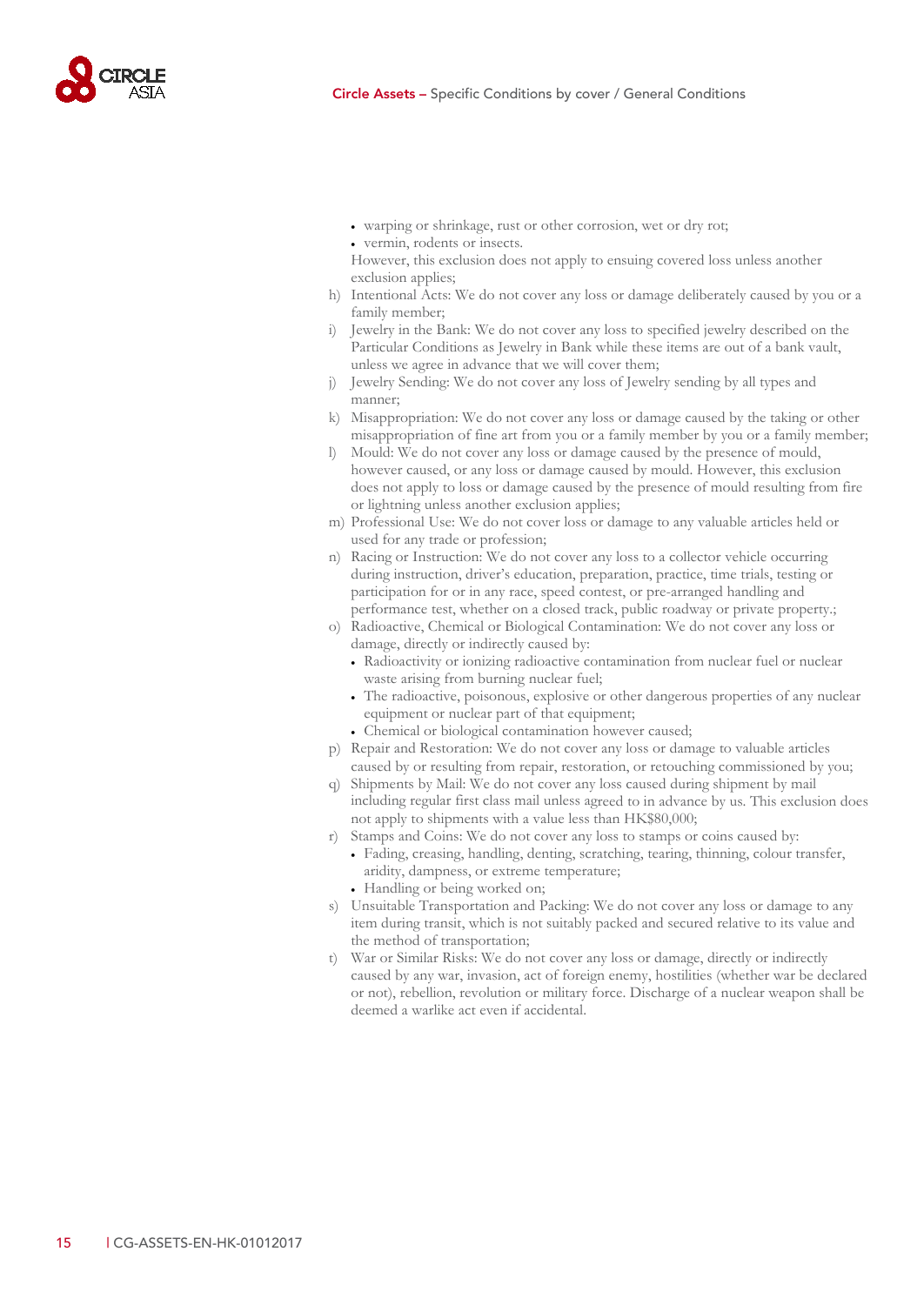

- warping or shrinkage, rust or other corrosion, wet or dry rot;
- vermin, rodents or insects.
- However, this exclusion does not apply to ensuing covered loss unless another exclusion applies;
- h) Intentional Acts: We do not cover any loss or damage deliberately caused by you or a family member;
- i) Jewelry in the Bank: We do not cover any loss to specified jewelry described on the Particular Conditions as Jewelry in Bank while these items are out of a bank vault, unless we agree in advance that we will cover them;
- j) Jewelry Sending: We do not cover any loss of Jewelry sending by all types and manner;
- k) Misappropriation: We do not cover any loss or damage caused by the taking or other misappropriation of fine art from you or a family member by you or a family member;
- l) Mould: We do not cover any loss or damage caused by the presence of mould, however caused, or any loss or damage caused by mould. However, this exclusion does not apply to loss or damage caused by the presence of mould resulting from fire or lightning unless another exclusion applies;
- m) Professional Use: We do not cover loss or damage to any valuable articles held or used for any trade or profession;
- n) Racing or Instruction: We do not cover any loss to a collector vehicle occurring during instruction, driver's education, preparation, practice, time trials, testing or participation for or in any race, speed contest, or pre-arranged handling and performance test, whether on a closed track, public roadway or private property.;
- o) Radioactive, Chemical or Biological Contamination: We do not cover any loss or damage, directly or indirectly caused by:
	- Radioactivity or ionizing radioactive contamination from nuclear fuel or nuclear waste arising from burning nuclear fuel;
	- The radioactive, poisonous, explosive or other dangerous properties of any nuclear equipment or nuclear part of that equipment;
	- Chemical or biological contamination however caused;
- p) Repair and Restoration: We do not cover any loss or damage to valuable articles caused by or resulting from repair, restoration, or retouching commissioned by you;
- q) Shipments by Mail: We do not cover any loss caused during shipment by mail including regular first class mail unless agreed to in advance by us. This exclusion does not apply to shipments with a value less than HK\$80,000;
- r) Stamps and Coins: We do not cover any loss to stamps or coins caused by:
	- Fading, creasing, handling, denting, scratching, tearing, thinning, colour transfer, aridity, dampness, or extreme temperature;
	- Handling or being worked on;
- s) Unsuitable Transportation and Packing: We do not cover any loss or damage to any item during transit, which is not suitably packed and secured relative to its value and the method of transportation;
- t) War or Similar Risks: We do not cover any loss or damage, directly or indirectly caused by any war, invasion, act of foreign enemy, hostilities (whether war be declared or not), rebellion, revolution or military force. Discharge of a nuclear weapon shall be deemed a warlike act even if accidental.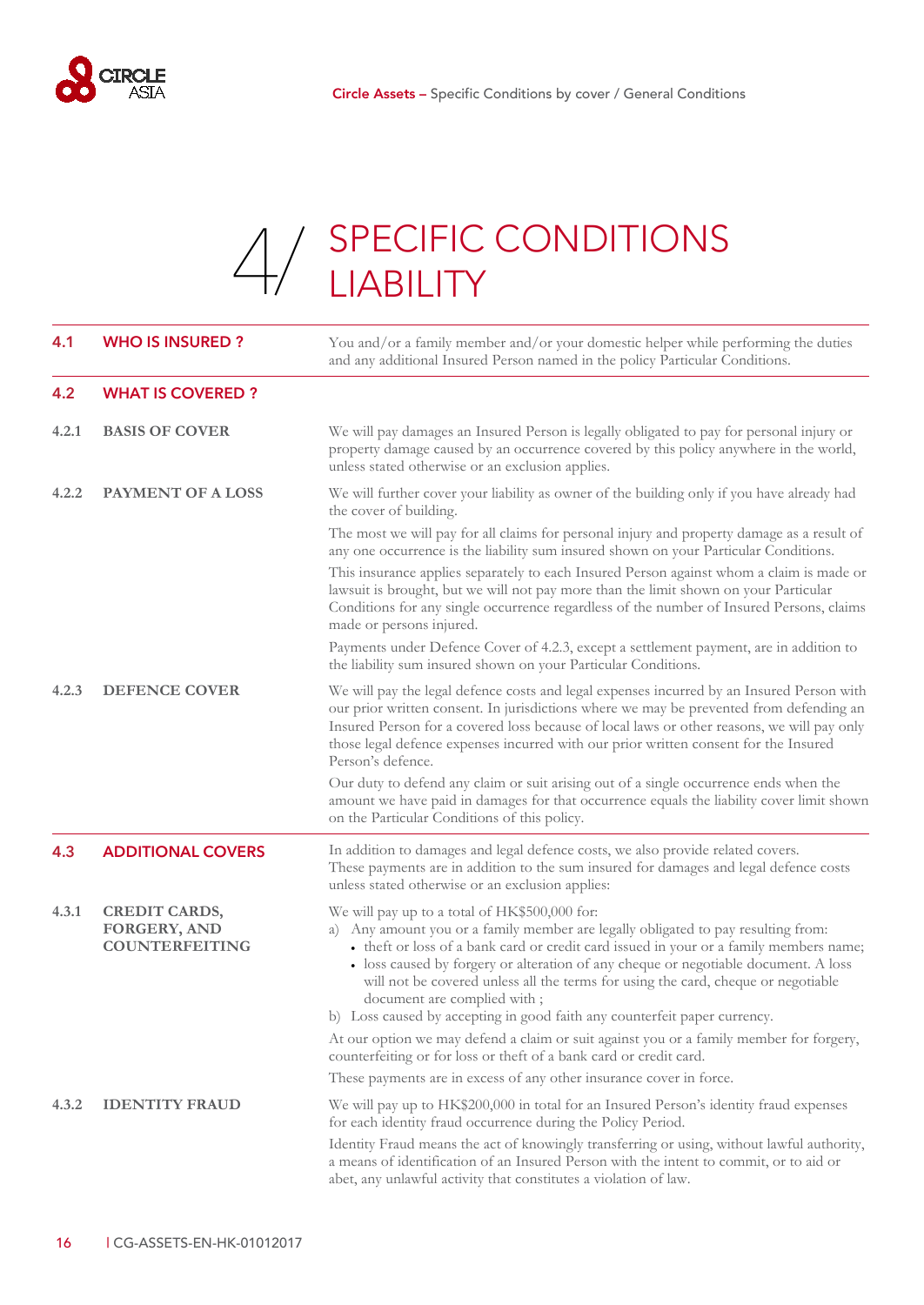

# A / SPECIFIC CONDITIONS [4/](#page-17-0) SPECIFIC

<span id="page-17-5"></span><span id="page-17-4"></span><span id="page-17-3"></span><span id="page-17-2"></span><span id="page-17-1"></span><span id="page-17-0"></span>

| 4.1   | <b>WHO IS INSURED?</b>                                               | You and/or a family member and/or your domestic helper while performing the duties<br>and any additional Insured Person named in the policy Particular Conditions.                                                                                                                                                                                                                                                                                                                                                   |
|-------|----------------------------------------------------------------------|----------------------------------------------------------------------------------------------------------------------------------------------------------------------------------------------------------------------------------------------------------------------------------------------------------------------------------------------------------------------------------------------------------------------------------------------------------------------------------------------------------------------|
| 4.2   | <b>WHAT IS COVERED?</b>                                              |                                                                                                                                                                                                                                                                                                                                                                                                                                                                                                                      |
| 4.2.1 | <b>BASIS OF COVER</b>                                                | We will pay damages an Insured Person is legally obligated to pay for personal injury or<br>property damage caused by an occurrence covered by this policy anywhere in the world,<br>unless stated otherwise or an exclusion applies.                                                                                                                                                                                                                                                                                |
| 4.2.2 | <b>PAYMENT OF A LOSS</b>                                             | We will further cover your liability as owner of the building only if you have already had<br>the cover of building.                                                                                                                                                                                                                                                                                                                                                                                                 |
|       |                                                                      | The most we will pay for all claims for personal injury and property damage as a result of<br>any one occurrence is the liability sum insured shown on your Particular Conditions.                                                                                                                                                                                                                                                                                                                                   |
|       |                                                                      | This insurance applies separately to each Insured Person against whom a claim is made or<br>lawsuit is brought, but we will not pay more than the limit shown on your Particular<br>Conditions for any single occurrence regardless of the number of Insured Persons, claims<br>made or persons injured.                                                                                                                                                                                                             |
|       |                                                                      | Payments under Defence Cover of 4.2.3, except a settlement payment, are in addition to<br>the liability sum insured shown on your Particular Conditions.                                                                                                                                                                                                                                                                                                                                                             |
| 4.2.3 | <b>DEFENCE COVER</b>                                                 | We will pay the legal defence costs and legal expenses incurred by an Insured Person with<br>our prior written consent. In jurisdictions where we may be prevented from defending an<br>Insured Person for a covered loss because of local laws or other reasons, we will pay only<br>those legal defence expenses incurred with our prior written consent for the Insured<br>Person's defence.                                                                                                                      |
|       |                                                                      | Our duty to defend any claim or suit arising out of a single occurrence ends when the<br>amount we have paid in damages for that occurrence equals the liability cover limit shown<br>on the Particular Conditions of this policy.                                                                                                                                                                                                                                                                                   |
| 4.3   | <b>ADDITIONAL COVERS</b>                                             | In addition to damages and legal defence costs, we also provide related covers.<br>These payments are in addition to the sum insured for damages and legal defence costs<br>unless stated otherwise or an exclusion applies:                                                                                                                                                                                                                                                                                         |
| 4.3.1 | <b>CREDIT CARDS,</b><br><b>FORGERY, AND</b><br><b>COUNTERFEITING</b> | We will pay up to a total of HK\$500,000 for:<br>a) Any amount you or a family member are legally obligated to pay resulting from:<br>• theft or loss of a bank card or credit card issued in your or a family members name;<br>• loss caused by forgery or alteration of any cheque or negotiable document. A loss<br>will not be covered unless all the terms for using the card, cheque or negotiable<br>document are complied with;<br>b) Loss caused by accepting in good faith any counterfeit paper currency. |
|       |                                                                      | At our option we may defend a claim or suit against you or a family member for forgery,<br>counterfeiting or for loss or theft of a bank card or credit card.                                                                                                                                                                                                                                                                                                                                                        |
|       |                                                                      | These payments are in excess of any other insurance cover in force.                                                                                                                                                                                                                                                                                                                                                                                                                                                  |
| 4.3.2 | <b>IDENTITY FRAUD</b>                                                | We will pay up to HK\$200,000 in total for an Insured Person's identity fraud expenses<br>for each identity fraud occurrence during the Policy Period.                                                                                                                                                                                                                                                                                                                                                               |
|       |                                                                      | Identity Fraud means the act of knowingly transferring or using, without lawful authority,<br>a means of identification of an Insured Person with the intent to commit, or to aid or<br>abet, any unlawful activity that constitutes a violation of law.                                                                                                                                                                                                                                                             |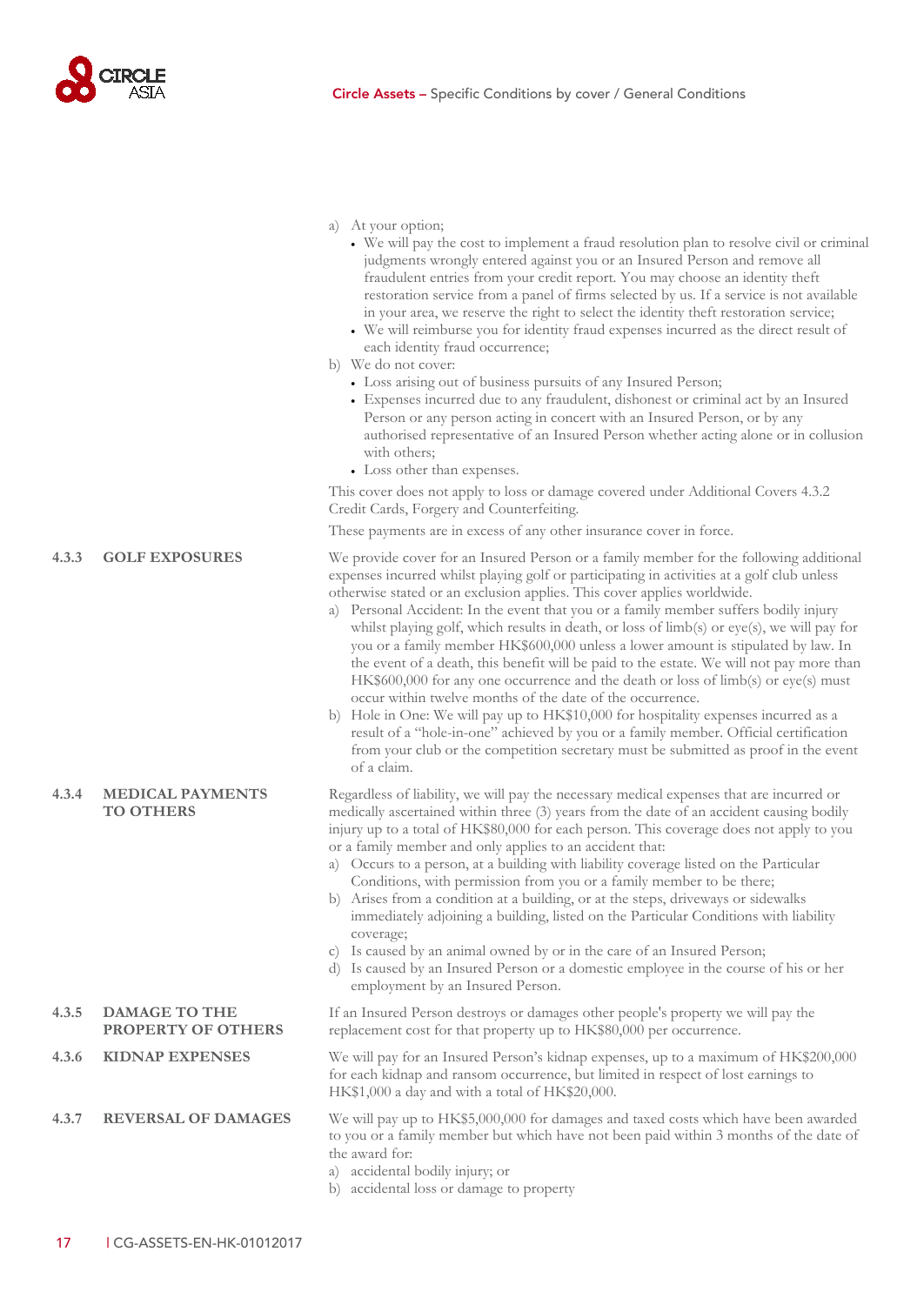

| a) |  | At your option; |
|----|--|-----------------|
|    |  |                 |

- We will pay the cost to implement a fraud resolution plan to resolve civil or criminal judgments wrongly entered against you or an Insured Person and remove all fraudulent entries from your credit report. You may choose an identity theft restoration service from a panel of firms selected by us. If a service is not available in your area, we reserve the right to select the identity theft restoration service;
- We will reimburse you for identity fraud expenses incurred as the direct result of each identity fraud occurrence;
- b) We do not cover:
	- Loss arising out of business pursuits of any Insured Person;
	- Expenses incurred due to any fraudulent, dishonest or criminal act by an Insured Person or any person acting in concert with an Insured Person, or by any authorised representative of an Insured Person whether acting alone or in collusion with others;
	- Loss other than expenses.

This cover does not apply to loss or damage covered under Additional Covers [4.3.2](#page-17-5) Credit Cards, Forgery and Counterfeiting.

These payments are in excess of any other insurance cover in force.

**4.3.3 GOLF EXPOSURES** We provide cover for an Insured Person or a family member for the following additional expenses incurred whilst playing golf or participating in activities at a golf club unless otherwise stated or an exclusion applies. This cover applies worldwide.

- a) Personal Accident: In the event that you or a family member suffers bodily injury whilst playing golf, which results in death, or loss of limb(s) or eye(s), we will pay for you or a family member HK\$600,000 unless a lower amount is stipulated by law. In the event of a death, this benefit will be paid to the estate. We will not pay more than HK\$600,000 for any one occurrence and the death or loss of limb(s) or eye(s) must occur within twelve months of the date of the occurrence.
- b) Hole in One: We will pay up to HK\$10,000 for hospitality expenses incurred as a result of a "hole-in-one" achieved by you or a family member. Official certification from your club or the competition secretary must be submitted as proof in the event of a claim.

Regardless of liability, we will pay the necessary medical expenses that are incurred or medically ascertained within three (3) years from the date of an accident causing bodily injury up to a total of HK\$80,000 for each person. This coverage does not apply to you or a family member and only applies to an accident that:

- a) Occurs to a person, at a building with liability coverage listed on the Particular Conditions, with permission from you or a family member to be there;
- b) Arises from a condition at a building, or at the steps, driveways or sidewalks immediately adjoining a building, listed on the Particular Conditions with liability coverage;
- c) Is caused by an animal owned by or in the care of an Insured Person;
- d) Is caused by an Insured Person or a domestic employee in the course of his or her employment by an Insured Person.

If an Insured Person destroys or damages other people's property we will pay the replacement cost for that property up to HK\$80,000 per occurrence.

**4.3.6 KIDNAP EXPENSES** We will pay for an Insured Person's kidnap expenses, up to a maximum of HK\$200,000 for each kidnap and ransom occurrence, but limited in respect of lost earnings to HK\$1,000 a day and with a total of HK\$20,000.

**4.3.7 REVERSAL OF DAMAGES** We will pay up to HK\$5,000,000 for damages and taxed costs which have been awarded to you or a family member but which have not been paid within 3 months of the date of the award for:

- a) accidental bodily injury; or
- b) accidental loss or damage to property

#### **4.3.4 MEDICAL PAYMENTS TO OTHERS**

- **4.3.5 DAMAGE TO THE PROPERTY OF OTHERS**
-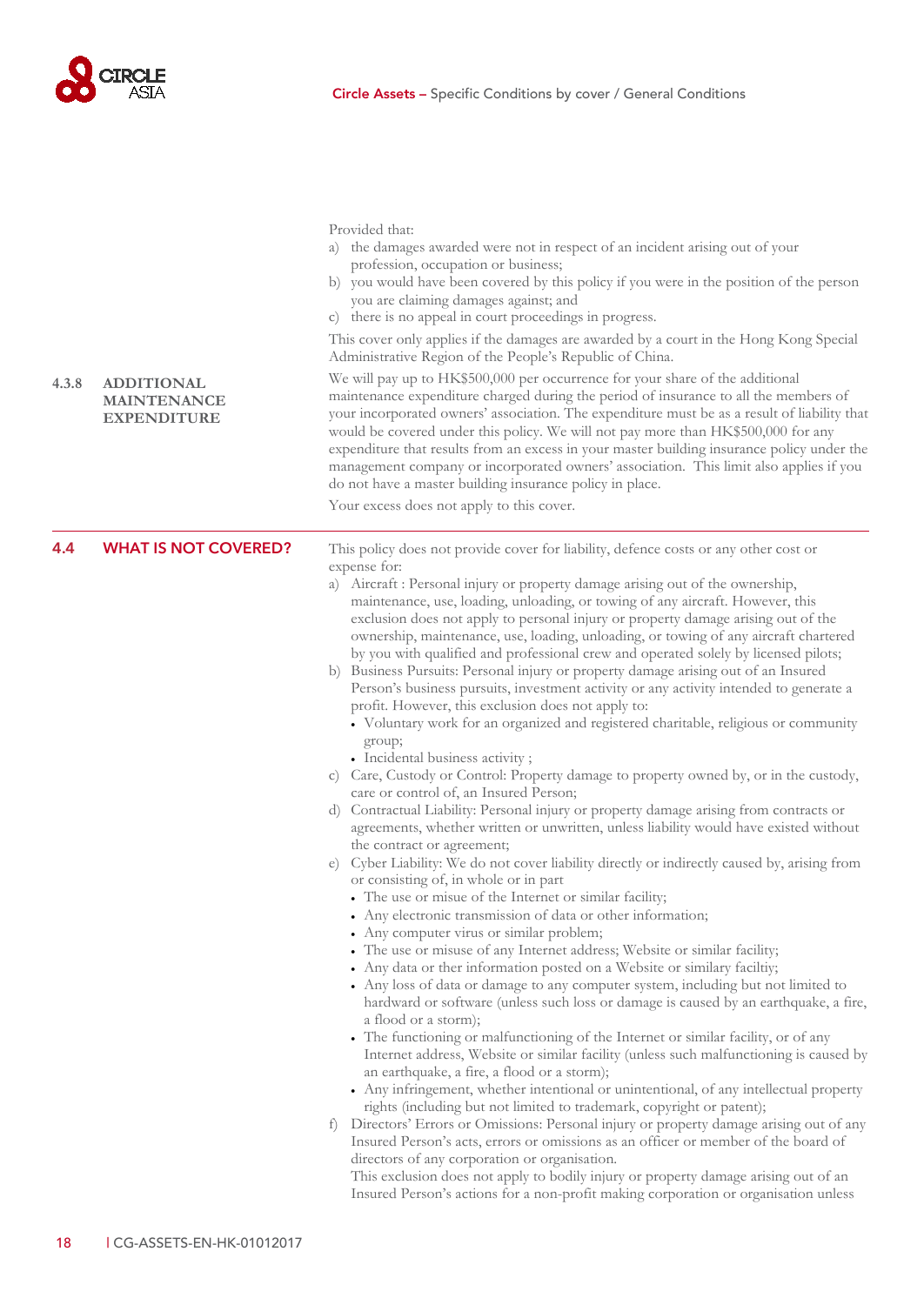

<span id="page-19-0"></span>

| 4.3.8 | <b>ADDITIONAL</b><br><b>MAINTENANCE</b><br><b>EXPENDITURE</b> | Provided that:<br>the damages awarded were not in respect of an incident arising out of your<br>a)<br>profession, occupation or business;<br>b) you would have been covered by this policy if you were in the position of the person<br>you are claiming damages against; and<br>there is no appeal in court proceedings in progress.<br>$\mathcal{C}$ )<br>This cover only applies if the damages are awarded by a court in the Hong Kong Special<br>Administrative Region of the People's Republic of China.<br>We will pay up to HK\$500,000 per occurrence for your share of the additional<br>maintenance expenditure charged during the period of insurance to all the members of<br>your incorporated owners' association. The expenditure must be as a result of liability that<br>would be covered under this policy. We will not pay more than HK\$500,000 for any<br>expenditure that results from an excess in your master building insurance policy under the<br>management company or incorporated owners' association. This limit also applies if you<br>do not have a master building insurance policy in place.<br>Your excess does not apply to this cover.                                                                                                                                                                                                                                                                                                                                                                                                                                                                                                                                                                                                                                                                                                                                                                                                                                                                                                                                                                                                                                                                                                                                                                                                                                                                                                                                                                                                                                                                                                                                                                                                    |
|-------|---------------------------------------------------------------|----------------------------------------------------------------------------------------------------------------------------------------------------------------------------------------------------------------------------------------------------------------------------------------------------------------------------------------------------------------------------------------------------------------------------------------------------------------------------------------------------------------------------------------------------------------------------------------------------------------------------------------------------------------------------------------------------------------------------------------------------------------------------------------------------------------------------------------------------------------------------------------------------------------------------------------------------------------------------------------------------------------------------------------------------------------------------------------------------------------------------------------------------------------------------------------------------------------------------------------------------------------------------------------------------------------------------------------------------------------------------------------------------------------------------------------------------------------------------------------------------------------------------------------------------------------------------------------------------------------------------------------------------------------------------------------------------------------------------------------------------------------------------------------------------------------------------------------------------------------------------------------------------------------------------------------------------------------------------------------------------------------------------------------------------------------------------------------------------------------------------------------------------------------------------------------------------------------------------------------------------------------------------------------------------------------------------------------------------------------------------------------------------------------------------------------------------------------------------------------------------------------------------------------------------------------------------------------------------------------------------------------------------------------------------------------------------------------------------------------------------------------------------------|
| 4.4   | <b>WHAT IS NOT COVERED?</b>                                   | This policy does not provide cover for liability, defence costs or any other cost or<br>expense for:<br>a) Aircraft : Personal injury or property damage arising out of the ownership,<br>maintenance, use, loading, unloading, or towing of any aircraft. However, this<br>exclusion does not apply to personal injury or property damage arising out of the<br>ownership, maintenance, use, loading, unloading, or towing of any aircraft chartered<br>by you with qualified and professional crew and operated solely by licensed pilots;<br>b) Business Pursuits: Personal injury or property damage arising out of an Insured<br>Person's business pursuits, investment activity or any activity intended to generate a<br>profit. However, this exclusion does not apply to:<br>• Voluntary work for an organized and registered charitable, religious or community<br>group;<br>• Incidental business activity;<br>c) Care, Custody or Control: Property damage to property owned by, or in the custody,<br>care or control of, an Insured Person;<br>d) Contractual Liability: Personal injury or property damage arising from contracts or<br>agreements, whether written or unwritten, unless liability would have existed without<br>the contract or agreement;<br>e) Cyber Liability: We do not cover liability directly or indirectly caused by, arising from<br>or consisting of, in whole or in part<br>• The use or misue of the Internet or similar facility;<br>• Any electronic transmission of data or other information;<br>• Any computer virus or similar problem;<br>The use or misuse of any Internet address; Website or similar facility;<br>• Any data or ther information posted on a Website or similary faciltiy;<br>• Any loss of data or damage to any computer system, including but not limited to<br>hardward or software (unless such loss or damage is caused by an earthquake, a fire,<br>a flood or a storm);<br>• The functioning or malfunctioning of the Internet or similar facility, or of any<br>Internet address, Website or similar facility (unless such malfunctioning is caused by<br>an earthquake, a fire, a flood or a storm);<br>• Any infringement, whether intentional or unintentional, of any intellectual property<br>rights (including but not limited to trademark, copyright or patent);<br>Directors' Errors or Omissions: Personal injury or property damage arising out of any<br>$\pm$ )<br>Insured Person's acts, errors or omissions as an officer or member of the board of<br>directors of any corporation or organisation.<br>This exclusion does not apply to bodily injury or property damage arising out of an<br>Insured Person's actions for a non-profit making corporation or organisation unless |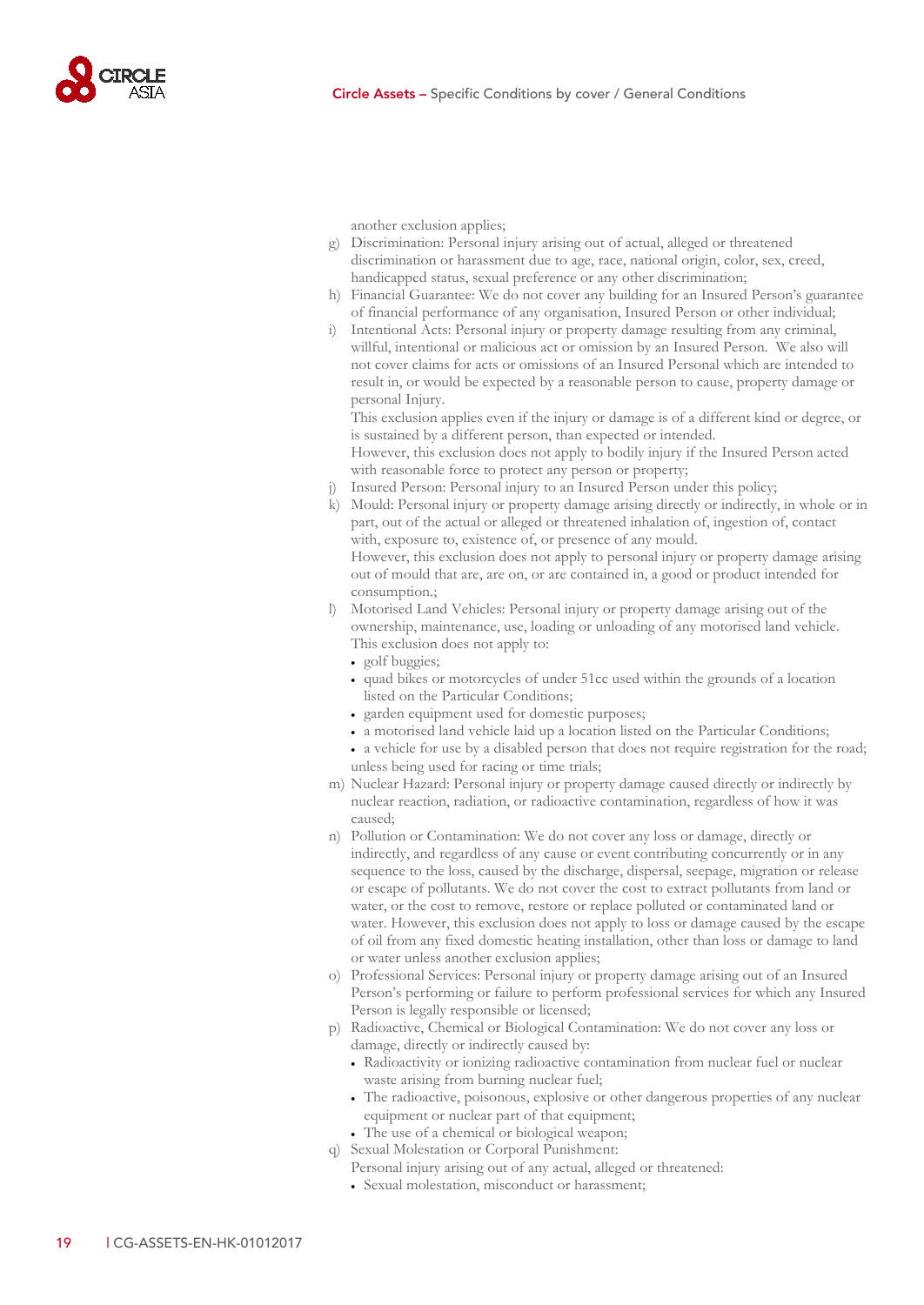

another exclusion applies;

- g) Discrimination: Personal injury arising out of actual, alleged or threatened discrimination or harassment due to age, race, national origin, color, sex, creed, handicapped status, sexual preference or any other discrimination;
- h) Financial Guarantee: We do not cover any building for an Insured Person's guarantee of financial performance of any organisation, Insured Person or other individual;
- i) Intentional Acts: Personal injury or property damage resulting from any criminal, willful, intentional or malicious act or omission by an Insured Person. We also will not cover claims for acts or omissions of an Insured Personal which are intended to result in, or would be expected by a reasonable person to cause, property damage or personal Injury.

This exclusion applies even if the injury or damage is of a different kind or degree, or is sustained by a different person, than expected or intended.

However, this exclusion does not apply to bodily injury if the Insured Person acted with reasonable force to protect any person or property;

- Insured Person: Personal injury to an Insured Person under this policy;
- k) Mould: Personal injury or property damage arising directly or indirectly, in whole or in part, out of the actual or alleged or threatened inhalation of, ingestion of, contact with, exposure to, existence of, or presence of any mould. However, this exclusion does not apply to personal injury or property damage arising out of mould that are, are on, or are contained in, a good or product intended for consumption.;
- l) Motorised Land Vehicles: Personal injury or property damage arising out of the ownership, maintenance, use, loading or unloading of any motorised land vehicle. This exclusion does not apply to:
	- golf buggies;
	- quad bikes or motorcycles of under 51cc used within the grounds of a location listed on the Particular Conditions;
	- garden equipment used for domestic purposes;
	- a motorised land vehicle laid up a location listed on the Particular Conditions;
	- a vehicle for use by a disabled person that does not require registration for the road; unless being used for racing or time trials;
- m) Nuclear Hazard: Personal injury or property damage caused directly or indirectly by nuclear reaction, radiation, or radioactive contamination, regardless of how it was caused;
- n) Pollution or Contamination: We do not cover any loss or damage, directly or indirectly, and regardless of any cause or event contributing concurrently or in any sequence to the loss, caused by the discharge, dispersal, seepage, migration or release or escape of pollutants. We do not cover the cost to extract pollutants from land or water, or the cost to remove, restore or replace polluted or contaminated land or water. However, this exclusion does not apply to loss or damage caused by the escape of oil from any fixed domestic heating installation, other than loss or damage to land or water unless another exclusion applies;
- o) Professional Services: Personal injury or property damage arising out of an Insured Person's performing or failure to perform professional services for which any Insured Person is legally responsible or licensed;
- p) Radioactive, Chemical or Biological Contamination: We do not cover any loss or damage, directly or indirectly caused by:
	- Radioactivity or ionizing radioactive contamination from nuclear fuel or nuclear waste arising from burning nuclear fuel;
	- The radioactive, poisonous, explosive or other dangerous properties of any nuclear equipment or nuclear part of that equipment;
	- The use of a chemical or biological weapon;
- q) Sexual Molestation or Corporal Punishment:
	- Personal injury arising out of any actual, alleged or threatened:
	- Sexual molestation, misconduct or harassment;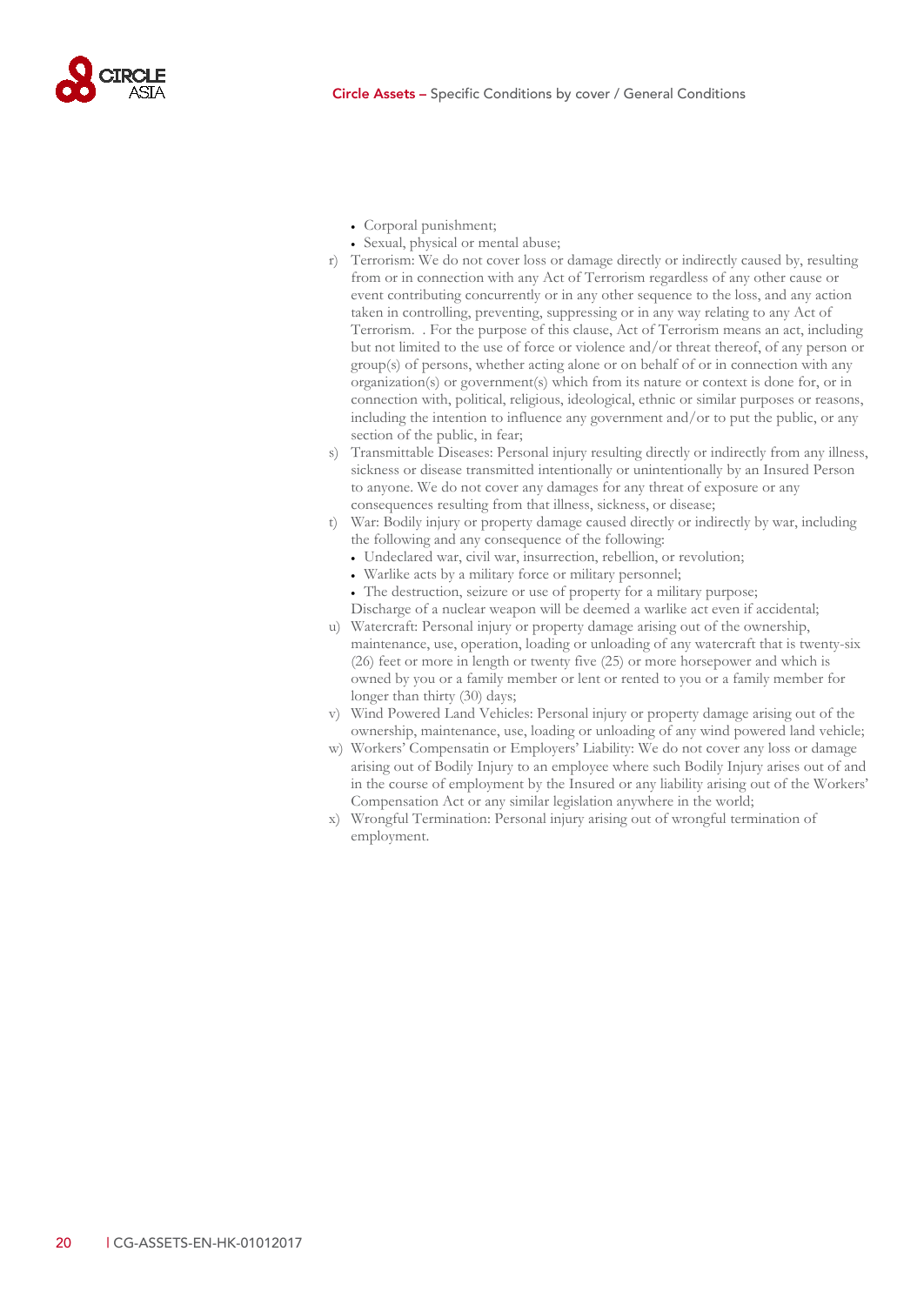

- Corporal punishment;
- Sexual, physical or mental abuse;
- r) Terrorism: We do not cover loss or damage directly or indirectly caused by, resulting from or in connection with any Act of Terrorism regardless of any other cause or event contributing concurrently or in any other sequence to the loss, and any action taken in controlling, preventing, suppressing or in any way relating to any Act of Terrorism. . For the purpose of this clause, Act of Terrorism means an act, including but not limited to the use of force or violence and/or threat thereof, of any person or group(s) of persons, whether acting alone or on behalf of or in connection with any organization(s) or government(s) which from its nature or context is done for, or in connection with, political, religious, ideological, ethnic or similar purposes or reasons, including the intention to influence any government and/or to put the public, or any section of the public, in fear;
- s) Transmittable Diseases: Personal injury resulting directly or indirectly from any illness, sickness or disease transmitted intentionally or unintentionally by an Insured Person to anyone. We do not cover any damages for any threat of exposure or any consequences resulting from that illness, sickness, or disease;
- t) War: Bodily injury or property damage caused directly or indirectly by war, including the following and any consequence of the following:
	- Undeclared war, civil war, insurrection, rebellion, or revolution;
	- Warlike acts by a military force or military personnel;
	- The destruction, seizure or use of property for a military purpose; Discharge of a nuclear weapon will be deemed a warlike act even if accidental;
- u) Watercraft: Personal injury or property damage arising out of the ownership, maintenance, use, operation, loading or unloading of any watercraft that is twenty-six (26) feet or more in length or twenty five (25) or more horsepower and which is owned by you or a family member or lent or rented to you or a family member for longer than thirty (30) days;
- v) Wind Powered Land Vehicles: Personal injury or property damage arising out of the ownership, maintenance, use, loading or unloading of any wind powered land vehicle;
- w) Workers' Compensatin or Employers' Liability: We do not cover any loss or damage arising out of Bodily Injury to an employee where such Bodily Injury arises out of and in the course of employment by the Insured or any liability arising out of the Workers' Compensation Act or any similar legislation anywhere in the world;
- x) Wrongful Termination: Personal injury arising out of wrongful termination of employment.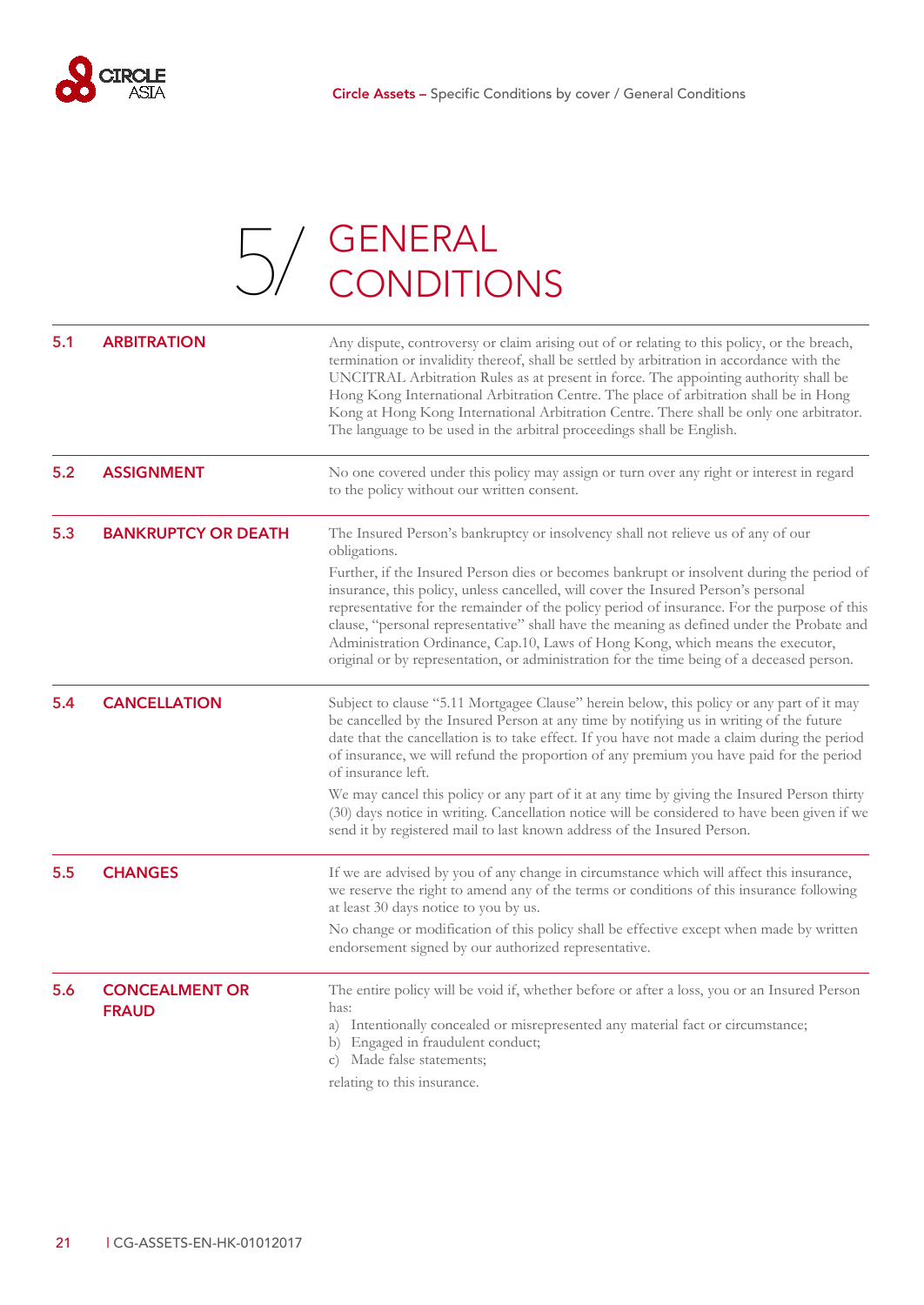

# $\Box$  / GENERAL [5/](#page-22-0) GENERAL<br>OV CONDITIONS

<span id="page-22-6"></span><span id="page-22-5"></span><span id="page-22-4"></span><span id="page-22-3"></span><span id="page-22-2"></span><span id="page-22-1"></span><span id="page-22-0"></span>

| 5.1 | <b>ARBITRATION</b>                    | Any dispute, controversy or claim arising out of or relating to this policy, or the breach,<br>termination or invalidity thereof, shall be settled by arbitration in accordance with the<br>UNCITRAL Arbitration Rules as at present in force. The appointing authority shall be<br>Hong Kong International Arbitration Centre. The place of arbitration shall be in Hong<br>Kong at Hong Kong International Arbitration Centre. There shall be only one arbitrator.<br>The language to be used in the arbitral proceedings shall be English.              |
|-----|---------------------------------------|------------------------------------------------------------------------------------------------------------------------------------------------------------------------------------------------------------------------------------------------------------------------------------------------------------------------------------------------------------------------------------------------------------------------------------------------------------------------------------------------------------------------------------------------------------|
| 5.2 | <b>ASSIGNMENT</b>                     | No one covered under this policy may assign or turn over any right or interest in regard<br>to the policy without our written consent.                                                                                                                                                                                                                                                                                                                                                                                                                     |
| 5.3 | <b>BANKRUPTCY OR DEATH</b>            | The Insured Person's bankruptcy or insolvency shall not relieve us of any of our<br>obligations.                                                                                                                                                                                                                                                                                                                                                                                                                                                           |
|     |                                       | Further, if the Insured Person dies or becomes bankrupt or insolvent during the period of<br>insurance, this policy, unless cancelled, will cover the Insured Person's personal<br>representative for the remainder of the policy period of insurance. For the purpose of this<br>clause, "personal representative" shall have the meaning as defined under the Probate and<br>Administration Ordinance, Cap.10, Laws of Hong Kong, which means the executor,<br>original or by representation, or administration for the time being of a deceased person. |
| 5.4 | <b>CANCELLATION</b>                   | Subject to clause "5.11 Mortgagee Clause" herein below, this policy or any part of it may<br>be cancelled by the Insured Person at any time by notifying us in writing of the future<br>date that the cancellation is to take effect. If you have not made a claim during the period<br>of insurance, we will refund the proportion of any premium you have paid for the period<br>of insurance left.                                                                                                                                                      |
|     |                                       | We may cancel this policy or any part of it at any time by giving the Insured Person thirty<br>(30) days notice in writing. Cancellation notice will be considered to have been given if we<br>send it by registered mail to last known address of the Insured Person.                                                                                                                                                                                                                                                                                     |
| 5.5 | <b>CHANGES</b>                        | If we are advised by you of any change in circumstance which will affect this insurance,<br>we reserve the right to amend any of the terms or conditions of this insurance following<br>at least 30 days notice to you by us.                                                                                                                                                                                                                                                                                                                              |
|     |                                       | No change or modification of this policy shall be effective except when made by written<br>endorsement signed by our authorized representative.                                                                                                                                                                                                                                                                                                                                                                                                            |
| 5.6 | <b>CONCEALMENT OR</b><br><b>FRAUD</b> | The entire policy will be void if, whether before or after a loss, you or an Insured Person<br>has:                                                                                                                                                                                                                                                                                                                                                                                                                                                        |
|     |                                       | a) Intentionally concealed or misrepresented any material fact or circumstance;<br>b) Engaged in fraudulent conduct;<br>Made false statements;<br>$\mathcal{C}$ )                                                                                                                                                                                                                                                                                                                                                                                          |
|     |                                       | relating to this insurance.                                                                                                                                                                                                                                                                                                                                                                                                                                                                                                                                |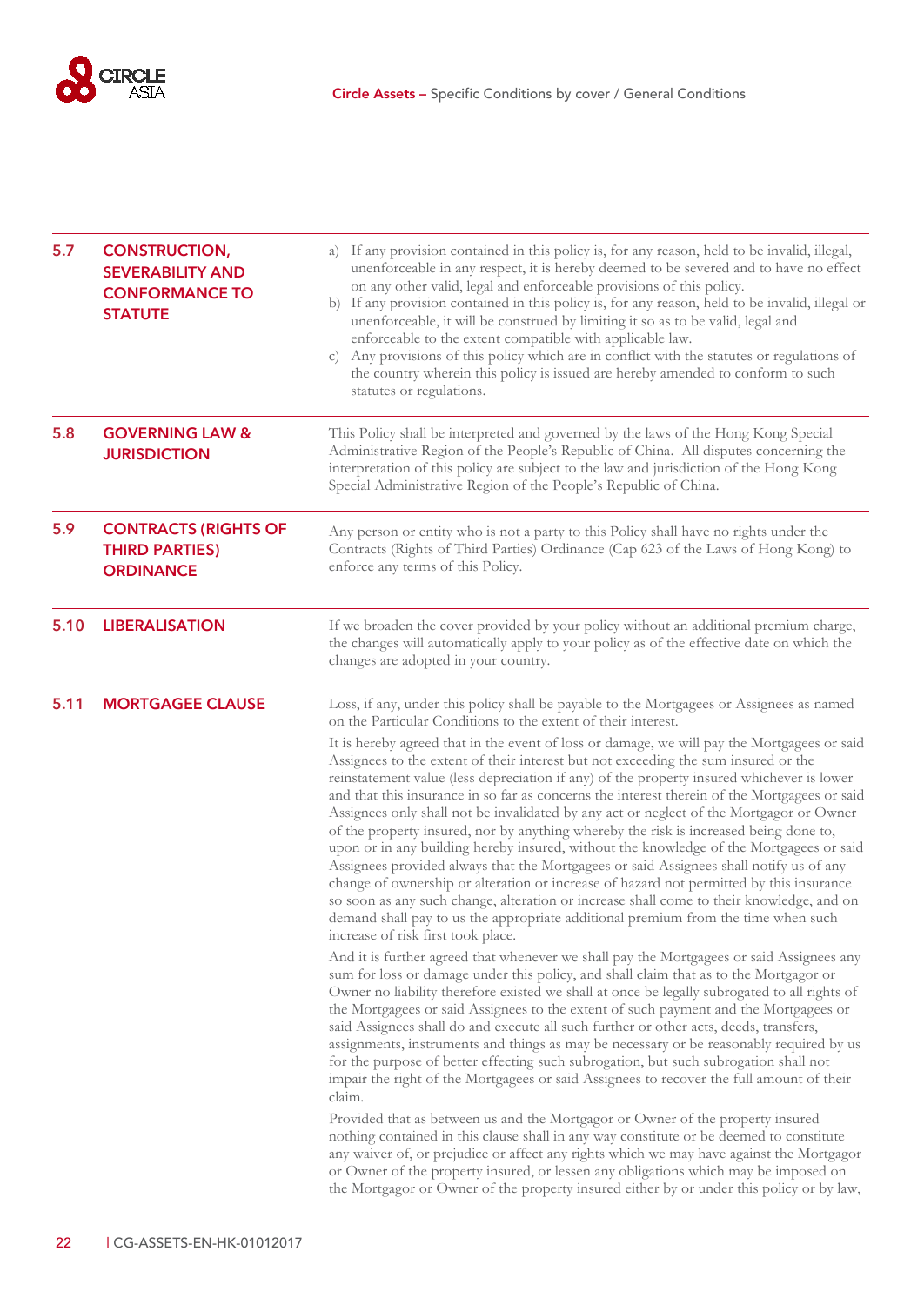

<span id="page-23-4"></span><span id="page-23-3"></span><span id="page-23-2"></span><span id="page-23-1"></span><span id="page-23-0"></span>

| 5.7  | <b>CONSTRUCTION,</b><br><b>SEVERABILITY AND</b><br><b>CONFORMANCE TO</b><br><b>STATUTE</b> | a) If any provision contained in this policy is, for any reason, held to be invalid, illegal,<br>unenforceable in any respect, it is hereby deemed to be severed and to have no effect<br>on any other valid, legal and enforceable provisions of this policy.<br>b) If any provision contained in this policy is, for any reason, held to be invalid, illegal or<br>unenforceable, it will be construed by limiting it so as to be valid, legal and<br>enforceable to the extent compatible with applicable law.<br>c) Any provisions of this policy which are in conflict with the statutes or regulations of<br>the country wherein this policy is issued are hereby amended to conform to such<br>statutes or regulations.                                                                                                                                                                                                                                                                                                                                            |
|------|--------------------------------------------------------------------------------------------|---------------------------------------------------------------------------------------------------------------------------------------------------------------------------------------------------------------------------------------------------------------------------------------------------------------------------------------------------------------------------------------------------------------------------------------------------------------------------------------------------------------------------------------------------------------------------------------------------------------------------------------------------------------------------------------------------------------------------------------------------------------------------------------------------------------------------------------------------------------------------------------------------------------------------------------------------------------------------------------------------------------------------------------------------------------------------|
| 5.8  | <b>GOVERNING LAW &amp;</b><br><b>JURISDICTION</b>                                          | This Policy shall be interpreted and governed by the laws of the Hong Kong Special<br>Administrative Region of the People's Republic of China. All disputes concerning the<br>interpretation of this policy are subject to the law and jurisdiction of the Hong Kong<br>Special Administrative Region of the People's Republic of China.                                                                                                                                                                                                                                                                                                                                                                                                                                                                                                                                                                                                                                                                                                                                  |
| 5.9  | <b>CONTRACTS (RIGHTS OF</b><br><b>THIRD PARTIES)</b><br><b>ORDINANCE</b>                   | Any person or entity who is not a party to this Policy shall have no rights under the<br>Contracts (Rights of Third Parties) Ordinance (Cap 623 of the Laws of Hong Kong) to<br>enforce any terms of this Policy.                                                                                                                                                                                                                                                                                                                                                                                                                                                                                                                                                                                                                                                                                                                                                                                                                                                         |
| 5.10 | <b>LIBERALISATION</b>                                                                      | If we broaden the cover provided by your policy without an additional premium charge,<br>the changes will automatically apply to your policy as of the effective date on which the<br>changes are adopted in your country.                                                                                                                                                                                                                                                                                                                                                                                                                                                                                                                                                                                                                                                                                                                                                                                                                                                |
| 5.11 | <b>MORTGAGEE CLAUSE</b>                                                                    | Loss, if any, under this policy shall be payable to the Mortgagees or Assignees as named<br>on the Particular Conditions to the extent of their interest.                                                                                                                                                                                                                                                                                                                                                                                                                                                                                                                                                                                                                                                                                                                                                                                                                                                                                                                 |
|      |                                                                                            | It is hereby agreed that in the event of loss or damage, we will pay the Mortgagees or said<br>Assignees to the extent of their interest but not exceeding the sum insured or the<br>reinstatement value (less depreciation if any) of the property insured whichever is lower<br>and that this insurance in so far as concerns the interest therein of the Mortgagees or said<br>Assignees only shall not be invalidated by any act or neglect of the Mortgagor or Owner<br>of the property insured, nor by anything whereby the risk is increased being done to,<br>upon or in any building hereby insured, without the knowledge of the Mortgagees or said<br>Assignees provided always that the Mortgagees or said Assignees shall notify us of any<br>change of ownership or alteration or increase of hazard not permitted by this insurance<br>so soon as any such change, alteration or increase shall come to their knowledge, and on<br>demand shall pay to us the appropriate additional premium from the time when such<br>increase of risk first took place. |
|      |                                                                                            | And it is further agreed that whenever we shall pay the Mortgagees or said Assignees any<br>sum for loss or damage under this policy, and shall claim that as to the Mortgagor or<br>Owner no liability therefore existed we shall at once be legally subrogated to all rights of<br>the Mortgagees or said Assignees to the extent of such payment and the Mortgagees or<br>said Assignees shall do and execute all such further or other acts, deeds, transfers,<br>assignments, instruments and things as may be necessary or be reasonably required by us<br>for the purpose of better effecting such subrogation, but such subrogation shall not<br>impair the right of the Mortgagees or said Assignees to recover the full amount of their<br>claim.                                                                                                                                                                                                                                                                                                               |
|      |                                                                                            | Provided that as between us and the Mortgagor or Owner of the property insured<br>nothing contained in this clause shall in any way constitute or be deemed to constitute<br>any waiver of, or prejudice or affect any rights which we may have against the Mortgagor<br>or Owner of the property insured, or lessen any obligations which may be imposed on<br>the Mortgagor or Owner of the property insured either by or under this policy or by law,                                                                                                                                                                                                                                                                                                                                                                                                                                                                                                                                                                                                                  |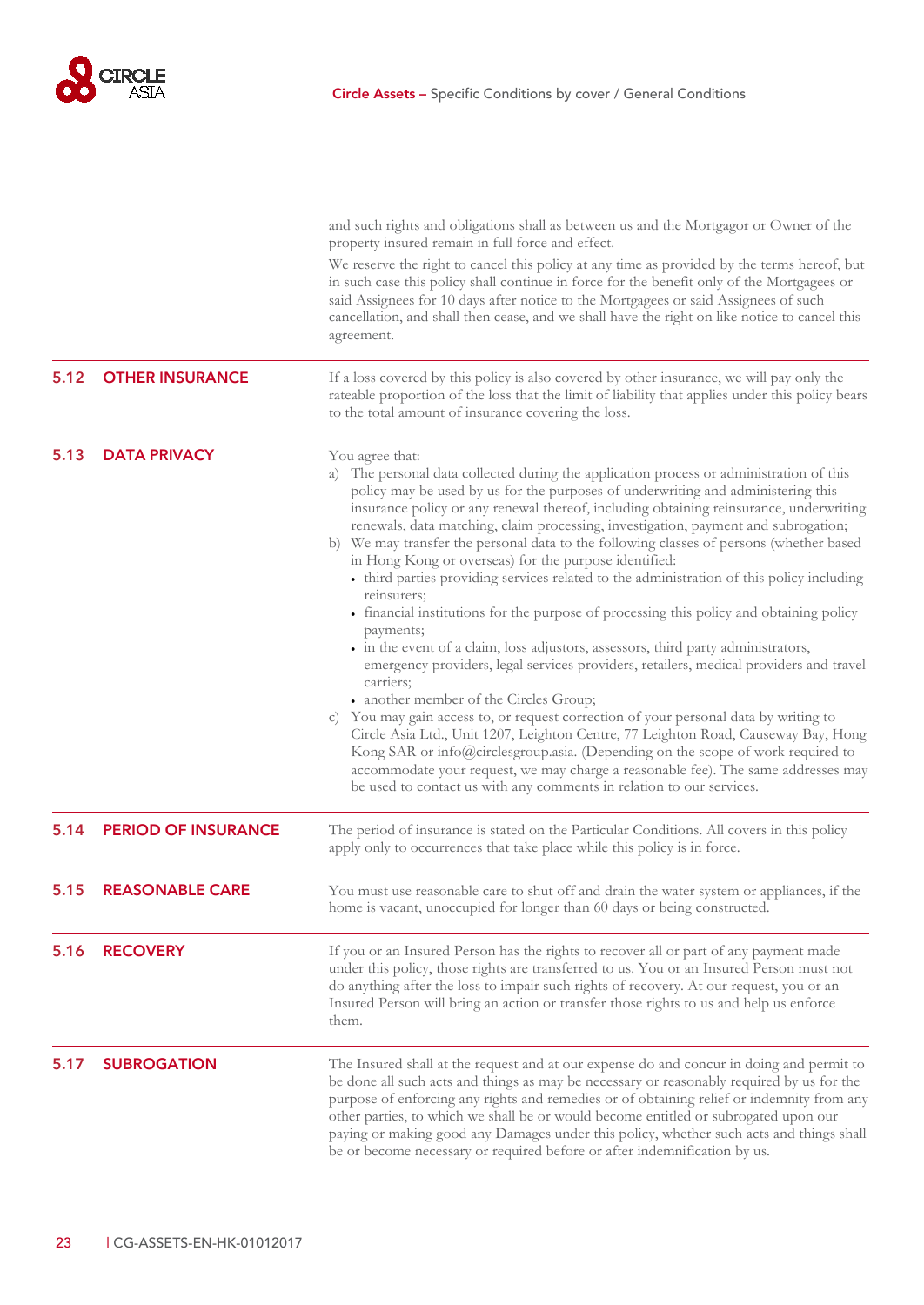

<span id="page-24-5"></span><span id="page-24-4"></span><span id="page-24-3"></span><span id="page-24-2"></span><span id="page-24-1"></span><span id="page-24-0"></span>

|      |                            | and such rights and obligations shall as between us and the Mortgagor or Owner of the<br>property insured remain in full force and effect.<br>We reserve the right to cancel this policy at any time as provided by the terms hereof, but<br>in such case this policy shall continue in force for the benefit only of the Mortgagees or<br>said Assignees for 10 days after notice to the Mortgagees or said Assignees of such<br>cancellation, and shall then cease, and we shall have the right on like notice to cancel this<br>agreement.                                                                                                                                                                                                                                                                                                                                                                                                                                                                                                                                                                                                                                                                                                                                                                                                                                                                              |
|------|----------------------------|----------------------------------------------------------------------------------------------------------------------------------------------------------------------------------------------------------------------------------------------------------------------------------------------------------------------------------------------------------------------------------------------------------------------------------------------------------------------------------------------------------------------------------------------------------------------------------------------------------------------------------------------------------------------------------------------------------------------------------------------------------------------------------------------------------------------------------------------------------------------------------------------------------------------------------------------------------------------------------------------------------------------------------------------------------------------------------------------------------------------------------------------------------------------------------------------------------------------------------------------------------------------------------------------------------------------------------------------------------------------------------------------------------------------------|
| 5.12 | <b>OTHER INSURANCE</b>     | If a loss covered by this policy is also covered by other insurance, we will pay only the<br>rateable proportion of the loss that the limit of liability that applies under this policy bears<br>to the total amount of insurance covering the loss.                                                                                                                                                                                                                                                                                                                                                                                                                                                                                                                                                                                                                                                                                                                                                                                                                                                                                                                                                                                                                                                                                                                                                                       |
| 5.13 | <b>DATA PRIVACY</b>        | You agree that:<br>a) The personal data collected during the application process or administration of this<br>policy may be used by us for the purposes of underwriting and administering this<br>insurance policy or any renewal thereof, including obtaining reinsurance, underwriting<br>renewals, data matching, claim processing, investigation, payment and subrogation;<br>b) We may transfer the personal data to the following classes of persons (whether based<br>in Hong Kong or overseas) for the purpose identified:<br>• third parties providing services related to the administration of this policy including<br>reinsurers;<br>• financial institutions for the purpose of processing this policy and obtaining policy<br>payments;<br>• in the event of a claim, loss adjustors, assessors, third party administrators,<br>emergency providers, legal services providers, retailers, medical providers and travel<br>carriers;<br>• another member of the Circles Group;<br>c) You may gain access to, or request correction of your personal data by writing to<br>Circle Asia Ltd., Unit 1207, Leighton Centre, 77 Leighton Road, Causeway Bay, Hong<br>Kong SAR or info@circlesgroup.asia. (Depending on the scope of work required to<br>accommodate your request, we may charge a reasonable fee). The same addresses may<br>be used to contact us with any comments in relation to our services. |
| 5.14 | <b>PERIOD OF INSURANCE</b> | The period of insurance is stated on the Particular Conditions. All covers in this policy<br>apply only to occurrences that take place while this policy is in force.                                                                                                                                                                                                                                                                                                                                                                                                                                                                                                                                                                                                                                                                                                                                                                                                                                                                                                                                                                                                                                                                                                                                                                                                                                                      |
| 5.15 | <b>REASONABLE CARE</b>     | You must use reasonable care to shut off and drain the water system or appliances, if the<br>home is vacant, unoccupied for longer than 60 days or being constructed.                                                                                                                                                                                                                                                                                                                                                                                                                                                                                                                                                                                                                                                                                                                                                                                                                                                                                                                                                                                                                                                                                                                                                                                                                                                      |
| 5.16 | <b>RECOVERY</b>            | If you or an Insured Person has the rights to recover all or part of any payment made<br>under this policy, those rights are transferred to us. You or an Insured Person must not<br>do anything after the loss to impair such rights of recovery. At our request, you or an<br>Insured Person will bring an action or transfer those rights to us and help us enforce<br>them.                                                                                                                                                                                                                                                                                                                                                                                                                                                                                                                                                                                                                                                                                                                                                                                                                                                                                                                                                                                                                                            |
| 5.17 | <b>SUBROGATION</b>         | The Insured shall at the request and at our expense do and concur in doing and permit to<br>be done all such acts and things as may be necessary or reasonably required by us for the<br>purpose of enforcing any rights and remedies or of obtaining relief or indemnity from any<br>other parties, to which we shall be or would become entitled or subrogated upon our<br>paying or making good any Damages under this policy, whether such acts and things shall<br>be or become necessary or required before or after indemnification by us.                                                                                                                                                                                                                                                                                                                                                                                                                                                                                                                                                                                                                                                                                                                                                                                                                                                                          |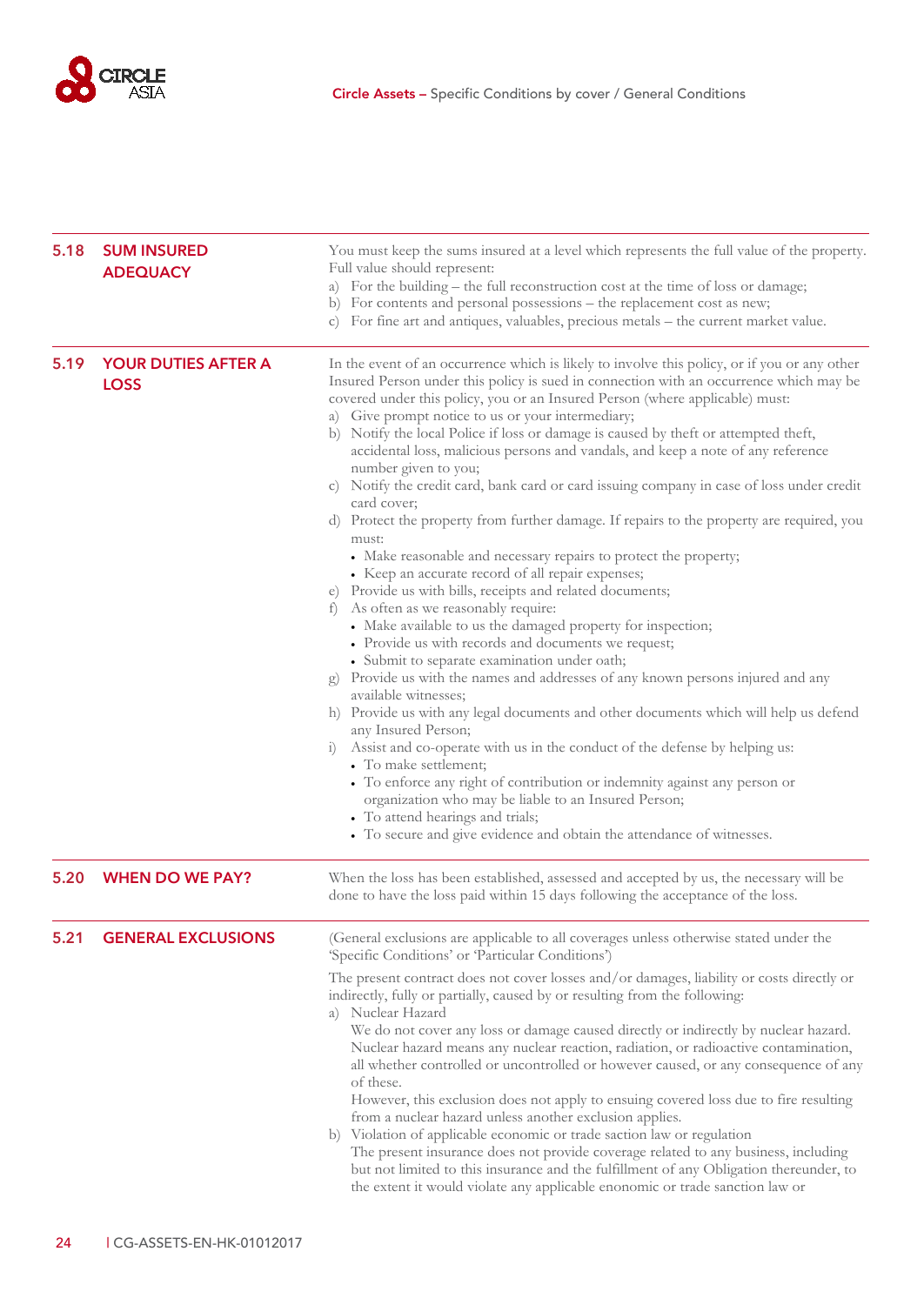

<span id="page-25-3"></span><span id="page-25-2"></span><span id="page-25-1"></span><span id="page-25-0"></span>

| 5.18 | <b>SUM INSURED</b><br><b>ADEQUACY</b>     | You must keep the sums insured at a level which represents the full value of the property.<br>Full value should represent:<br>a) For the building - the full reconstruction cost at the time of loss or damage;<br>b) For contents and personal possessions – the replacement cost as new;<br>c) For fine art and antiques, valuables, precious metals - the current market value.                                                                                                                                                                                                                                                                                                                                                                                                                                                                                                                                                                                                                                                                                                                                                                                                                                                                                                                                                                                                                                                                                                                                                                                                                                                                                                                                                                                                   |
|------|-------------------------------------------|--------------------------------------------------------------------------------------------------------------------------------------------------------------------------------------------------------------------------------------------------------------------------------------------------------------------------------------------------------------------------------------------------------------------------------------------------------------------------------------------------------------------------------------------------------------------------------------------------------------------------------------------------------------------------------------------------------------------------------------------------------------------------------------------------------------------------------------------------------------------------------------------------------------------------------------------------------------------------------------------------------------------------------------------------------------------------------------------------------------------------------------------------------------------------------------------------------------------------------------------------------------------------------------------------------------------------------------------------------------------------------------------------------------------------------------------------------------------------------------------------------------------------------------------------------------------------------------------------------------------------------------------------------------------------------------------------------------------------------------------------------------------------------------|
| 5.19 | <b>YOUR DUTIES AFTER A</b><br><b>LOSS</b> | In the event of an occurrence which is likely to involve this policy, or if you or any other<br>Insured Person under this policy is sued in connection with an occurrence which may be<br>covered under this policy, you or an Insured Person (where applicable) must:<br>a) Give prompt notice to us or your intermediary;<br>b) Notify the local Police if loss or damage is caused by theft or attempted theft,<br>accidental loss, malicious persons and vandals, and keep a note of any reference<br>number given to you;<br>c) Notify the credit card, bank card or card issuing company in case of loss under credit<br>card cover;<br>d) Protect the property from further damage. If repairs to the property are required, you<br>must:<br>• Make reasonable and necessary repairs to protect the property;<br>• Keep an accurate record of all repair expenses;<br>e) Provide us with bills, receipts and related documents;<br>As often as we reasonably require:<br>$\pm$<br>• Make available to us the damaged property for inspection;<br>• Provide us with records and documents we request;<br>· Submit to separate examination under oath;<br>Provide us with the names and addresses of any known persons injured and any<br>$g$ )<br>available witnesses;<br>h) Provide us with any legal documents and other documents which will help us defend<br>any Insured Person;<br>Assist and co-operate with us in the conduct of the defense by helping us:<br>$\left( \frac{1}{2} \right)$<br>• To make settlement;<br>• To enforce any right of contribution or indemnity against any person or<br>organization who may be liable to an Insured Person;<br>• To attend hearings and trials;<br>• To secure and give evidence and obtain the attendance of witnesses. |
| 5.20 | <b>WHEN DO WE PAY?</b>                    | When the loss has been established, assessed and accepted by us, the necessary will be<br>done to have the loss paid within 15 days following the acceptance of the loss.                                                                                                                                                                                                                                                                                                                                                                                                                                                                                                                                                                                                                                                                                                                                                                                                                                                                                                                                                                                                                                                                                                                                                                                                                                                                                                                                                                                                                                                                                                                                                                                                            |
| 5.21 | <b>GENERAL EXCLUSIONS</b>                 | (General exclusions are applicable to all coverages unless otherwise stated under the<br>'Specific Conditions' or 'Particular Conditions')<br>The present contract does not cover losses and/or damages, liability or costs directly or<br>indirectly, fully or partially, caused by or resulting from the following:<br>a) Nuclear Hazard<br>We do not cover any loss or damage caused directly or indirectly by nuclear hazard.<br>Nuclear hazard means any nuclear reaction, radiation, or radioactive contamination,<br>all whether controlled or uncontrolled or however caused, or any consequence of any<br>of these.<br>However, this exclusion does not apply to ensuing covered loss due to fire resulting<br>from a nuclear hazard unless another exclusion applies.<br>b) Violation of applicable economic or trade saction law or regulation<br>The present insurance does not provide coverage related to any business, including<br>but not limited to this insurance and the fulfillment of any Obligation thereunder, to<br>the extent it would violate any applicable enonomic or trade sanction law or                                                                                                                                                                                                                                                                                                                                                                                                                                                                                                                                                                                                                                                            |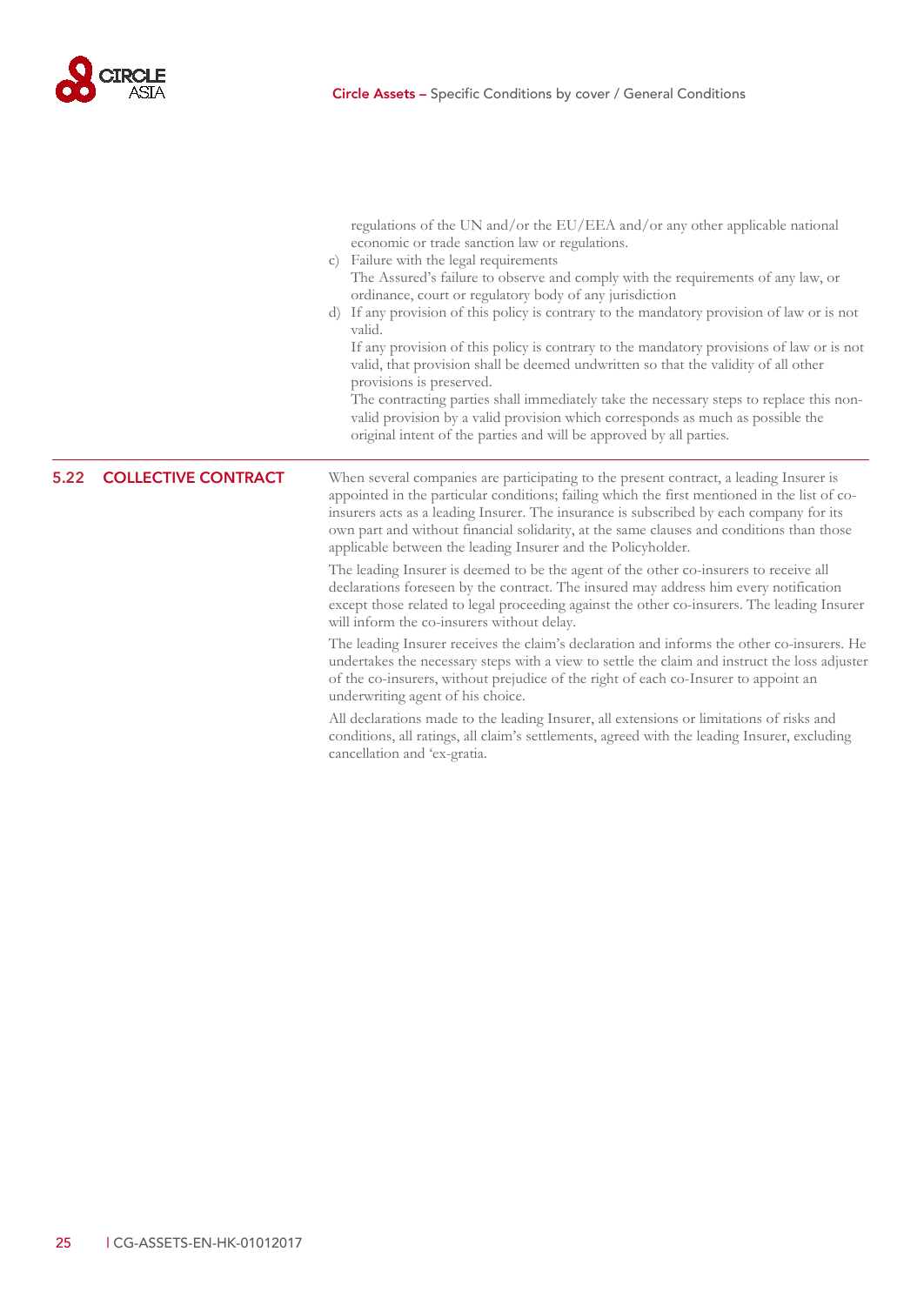

<span id="page-26-0"></span>

|      |                            | regulations of the UN and/or the EU/EEA and/or any other applicable national<br>economic or trade sanction law or regulations.<br>c) Failure with the legal requirements<br>The Assured's failure to observe and comply with the requirements of any law, or<br>ordinance, court or regulatory body of any jurisdiction<br>d) If any provision of this policy is contrary to the mandatory provision of law or is not<br>valid.<br>If any provision of this policy is contrary to the mandatory provisions of law or is not<br>valid, that provision shall be deemed undwritten so that the validity of all other<br>provisions is preserved.<br>The contracting parties shall immediately take the necessary steps to replace this non-<br>valid provision by a valid provision which corresponds as much as possible the<br>original intent of the parties and will be approved by all parties. |
|------|----------------------------|---------------------------------------------------------------------------------------------------------------------------------------------------------------------------------------------------------------------------------------------------------------------------------------------------------------------------------------------------------------------------------------------------------------------------------------------------------------------------------------------------------------------------------------------------------------------------------------------------------------------------------------------------------------------------------------------------------------------------------------------------------------------------------------------------------------------------------------------------------------------------------------------------|
| 5.22 | <b>COLLECTIVE CONTRACT</b> | When several companies are participating to the present contract, a leading Insurer is<br>appointed in the particular conditions; failing which the first mentioned in the list of co-<br>insurers acts as a leading Insurer. The insurance is subscribed by each company for its<br>own part and without financial solidarity, at the same clauses and conditions than those<br>applicable between the leading Insurer and the Policyholder.                                                                                                                                                                                                                                                                                                                                                                                                                                                     |
|      |                            | The leading Insurer is deemed to be the agent of the other co-insurers to receive all<br>declarations foreseen by the contract. The insured may address him every notification<br>except those related to legal proceeding against the other co-insurers. The leading Insurer<br>will inform the co-insurers without delay.                                                                                                                                                                                                                                                                                                                                                                                                                                                                                                                                                                       |
|      |                            | The leading Insurer receives the claim's declaration and informs the other co-insurers. He<br>undertakes the necessary steps with a view to settle the claim and instruct the loss adjuster<br>of the co-insurers, without prejudice of the right of each co-Insurer to appoint an<br>underwriting agent of his choice.                                                                                                                                                                                                                                                                                                                                                                                                                                                                                                                                                                           |
|      |                            | All declarations made to the leading Insurer, all extensions or limitations of risks and<br>conditions, all ratings, all claim's settlements, agreed with the leading Insurer, excluding<br>cancellation and 'ex-gratia.                                                                                                                                                                                                                                                                                                                                                                                                                                                                                                                                                                                                                                                                          |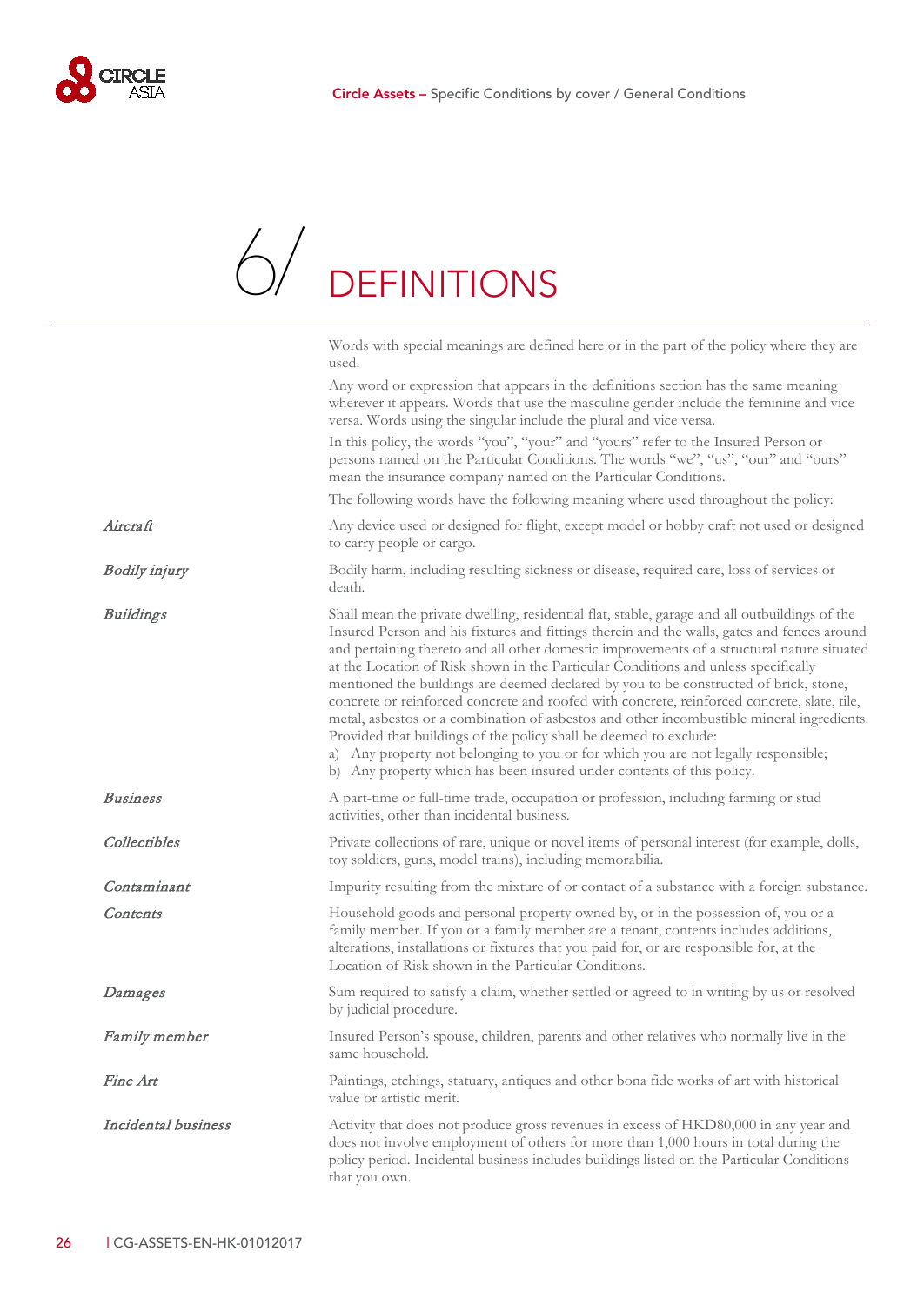<span id="page-27-0"></span>

### 6. DEFINITIONS [6/](#page-27-0)

|                      | Words with special meanings are defined here or in the part of the policy where they are<br>used.                                                                                                                                                                                                                                                                                                                                                                                                                                                                                                                                                                                                                                                                                                                                                                                                         |
|----------------------|-----------------------------------------------------------------------------------------------------------------------------------------------------------------------------------------------------------------------------------------------------------------------------------------------------------------------------------------------------------------------------------------------------------------------------------------------------------------------------------------------------------------------------------------------------------------------------------------------------------------------------------------------------------------------------------------------------------------------------------------------------------------------------------------------------------------------------------------------------------------------------------------------------------|
|                      | Any word or expression that appears in the definitions section has the same meaning<br>wherever it appears. Words that use the masculine gender include the feminine and vice<br>versa. Words using the singular include the plural and vice versa.                                                                                                                                                                                                                                                                                                                                                                                                                                                                                                                                                                                                                                                       |
|                      | In this policy, the words "you", "your" and "yours" refer to the Insured Person or<br>persons named on the Particular Conditions. The words "we", "us", "our" and "ours"<br>mean the insurance company named on the Particular Conditions.                                                                                                                                                                                                                                                                                                                                                                                                                                                                                                                                                                                                                                                                |
|                      | The following words have the following meaning where used throughout the policy:                                                                                                                                                                                                                                                                                                                                                                                                                                                                                                                                                                                                                                                                                                                                                                                                                          |
| Aircraft             | Any device used or designed for flight, except model or hobby craft not used or designed<br>to carry people or cargo.                                                                                                                                                                                                                                                                                                                                                                                                                                                                                                                                                                                                                                                                                                                                                                                     |
| <b>Bodily injury</b> | Bodily harm, including resulting sickness or disease, required care, loss of services or<br>death.                                                                                                                                                                                                                                                                                                                                                                                                                                                                                                                                                                                                                                                                                                                                                                                                        |
| <b>Buildings</b>     | Shall mean the private dwelling, residential flat, stable, garage and all outbuildings of the<br>Insured Person and his fixtures and fittings therein and the walls, gates and fences around<br>and pertaining thereto and all other domestic improvements of a structural nature situated<br>at the Location of Risk shown in the Particular Conditions and unless specifically<br>mentioned the buildings are deemed declared by you to be constructed of brick, stone,<br>concrete or reinforced concrete and roofed with concrete, reinforced concrete, slate, tile,<br>metal, asbestos or a combination of asbestos and other incombustible mineral ingredients.<br>Provided that buildings of the policy shall be deemed to exclude:<br>a) Any property not belonging to you or for which you are not legally responsible;<br>b) Any property which has been insured under contents of this policy. |
| <b>Business</b>      | A part-time or full-time trade, occupation or profession, including farming or stud<br>activities, other than incidental business.                                                                                                                                                                                                                                                                                                                                                                                                                                                                                                                                                                                                                                                                                                                                                                        |
| Collectibles         | Private collections of rare, unique or novel items of personal interest (for example, dolls,<br>toy soldiers, guns, model trains), including memorabilia.                                                                                                                                                                                                                                                                                                                                                                                                                                                                                                                                                                                                                                                                                                                                                 |
| Contaminant          | Impurity resulting from the mixture of or contact of a substance with a foreign substance.                                                                                                                                                                                                                                                                                                                                                                                                                                                                                                                                                                                                                                                                                                                                                                                                                |
| Contents             | Household goods and personal property owned by, or in the possession of, you or a<br>family member. If you or a family member are a tenant, contents includes additions,<br>alterations, installations or fixtures that you paid for, or are responsible for, at the<br>Location of Risk shown in the Particular Conditions.                                                                                                                                                                                                                                                                                                                                                                                                                                                                                                                                                                              |
| Damages              | Sum required to satisfy a claim, whether settled or agreed to in writing by us or resolved<br>by judicial procedure.                                                                                                                                                                                                                                                                                                                                                                                                                                                                                                                                                                                                                                                                                                                                                                                      |
| Family member        | Insured Person's spouse, children, parents and other relatives who normally live in the<br>same household.                                                                                                                                                                                                                                                                                                                                                                                                                                                                                                                                                                                                                                                                                                                                                                                                |
| Fine Art             | Paintings, etchings, statuary, antiques and other bona fide works of art with historical<br>value or artistic merit.                                                                                                                                                                                                                                                                                                                                                                                                                                                                                                                                                                                                                                                                                                                                                                                      |
| Incidental business  | Activity that does not produce gross revenues in excess of HKD80,000 in any year and<br>does not involve employment of others for more than 1,000 hours in total during the<br>policy period. Incidental business includes buildings listed on the Particular Conditions<br>that you own.                                                                                                                                                                                                                                                                                                                                                                                                                                                                                                                                                                                                                 |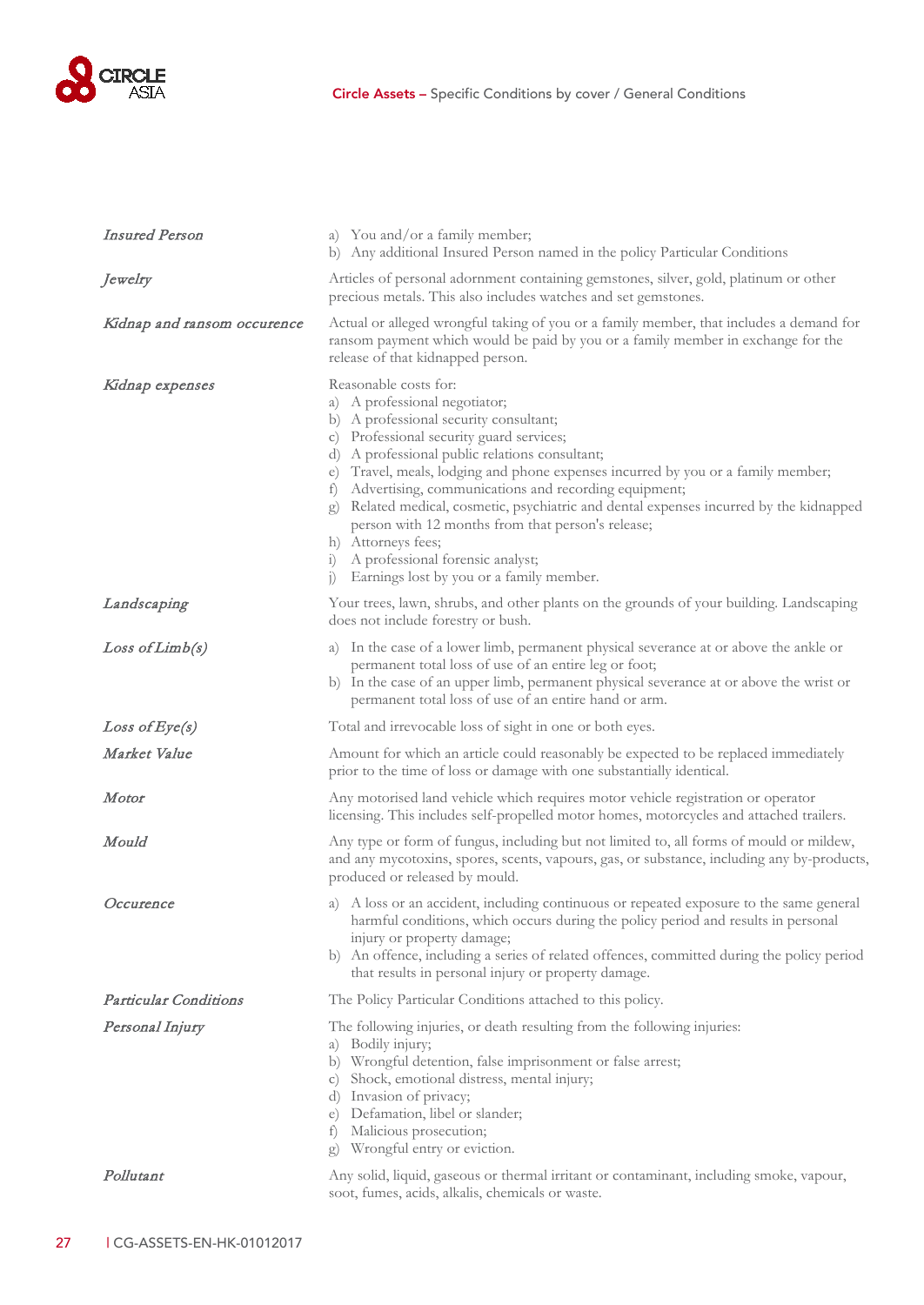

| <b>Insured Person</b>        | a) You and/or a family member;<br>b) Any additional Insured Person named in the policy Particular Conditions                                                                                                                                                                                                                                                                                                                                                                                                                                                                                                                            |
|------------------------------|-----------------------------------------------------------------------------------------------------------------------------------------------------------------------------------------------------------------------------------------------------------------------------------------------------------------------------------------------------------------------------------------------------------------------------------------------------------------------------------------------------------------------------------------------------------------------------------------------------------------------------------------|
| Jewelry                      | Articles of personal adornment containing gemstones, silver, gold, platinum or other<br>precious metals. This also includes watches and set gemstones.                                                                                                                                                                                                                                                                                                                                                                                                                                                                                  |
| Kidnap and ransom occurence  | Actual or alleged wrongful taking of you or a family member, that includes a demand for<br>ransom payment which would be paid by you or a family member in exchange for the<br>release of that kidnapped person.                                                                                                                                                                                                                                                                                                                                                                                                                        |
| Kidnap expenses              | Reasonable costs for:<br>a) A professional negotiator;<br>b) A professional security consultant;<br>c) Professional security guard services;<br>d) A professional public relations consultant;<br>Travel, meals, lodging and phone expenses incurred by you or a family member;<br>e)<br>Advertising, communications and recording equipment;<br>$\pm$<br>Related medical, cosmetic, psychiatric and dental expenses incurred by the kidnapped<br>g)<br>person with 12 months from that person's release;<br>h) Attorneys fees;<br>A professional forensic analyst;<br>1)<br>Earnings lost by you or a family member.<br>$\overline{1}$ |
| Landscaping                  | Your trees, lawn, shrubs, and other plants on the grounds of your building. Landscaping<br>does not include forestry or bush.                                                                                                                                                                                                                                                                                                                                                                                                                                                                                                           |
| Loss of Limb(s)              | a) In the case of a lower limb, permanent physical severance at or above the ankle or<br>permanent total loss of use of an entire leg or foot;<br>b) In the case of an upper limb, permanent physical severance at or above the wrist or<br>permanent total loss of use of an entire hand or arm.                                                                                                                                                                                                                                                                                                                                       |
| Loss of Eye(s)               | Total and irrevocable loss of sight in one or both eyes.                                                                                                                                                                                                                                                                                                                                                                                                                                                                                                                                                                                |
| Market Value                 | Amount for which an article could reasonably be expected to be replaced immediately<br>prior to the time of loss or damage with one substantially identical.                                                                                                                                                                                                                                                                                                                                                                                                                                                                            |
| Motor                        | Any motorised land vehicle which requires motor vehicle registration or operator<br>licensing. This includes self-propelled motor homes, motorcycles and attached trailers.                                                                                                                                                                                                                                                                                                                                                                                                                                                             |
| Mould                        | Any type or form of fungus, including but not limited to, all forms of mould or mildew,<br>and any mycotoxins, spores, scents, vapours, gas, or substance, including any by-products,<br>produced or released by mould.                                                                                                                                                                                                                                                                                                                                                                                                                 |
| Occurence                    | a) A loss or an accident, including continuous or repeated exposure to the same general<br>harmful conditions, which occurs during the policy period and results in personal<br>injury or property damage;<br>b) An offence, including a series of related offences, committed during the policy period<br>that results in personal injury or property damage.                                                                                                                                                                                                                                                                          |
| <b>Particular Conditions</b> | The Policy Particular Conditions attached to this policy.                                                                                                                                                                                                                                                                                                                                                                                                                                                                                                                                                                               |
| Personal Injury              | The following injuries, or death resulting from the following injuries:<br>a) Bodily injury;<br>b) Wrongful detention, false imprisonment or false arrest;<br>Shock, emotional distress, mental injury;<br>$\mathcal{C}$ )<br>d) Invasion of privacy;<br>Defamation, libel or slander;<br>e)<br>Malicious prosecution;<br>$\pm$<br>Wrongful entry or eviction.<br>g)                                                                                                                                                                                                                                                                    |
| Pollutant                    | Any solid, liquid, gaseous or thermal irritant or contaminant, including smoke, vapour,<br>soot, fumes, acids, alkalis, chemicals or waste.                                                                                                                                                                                                                                                                                                                                                                                                                                                                                             |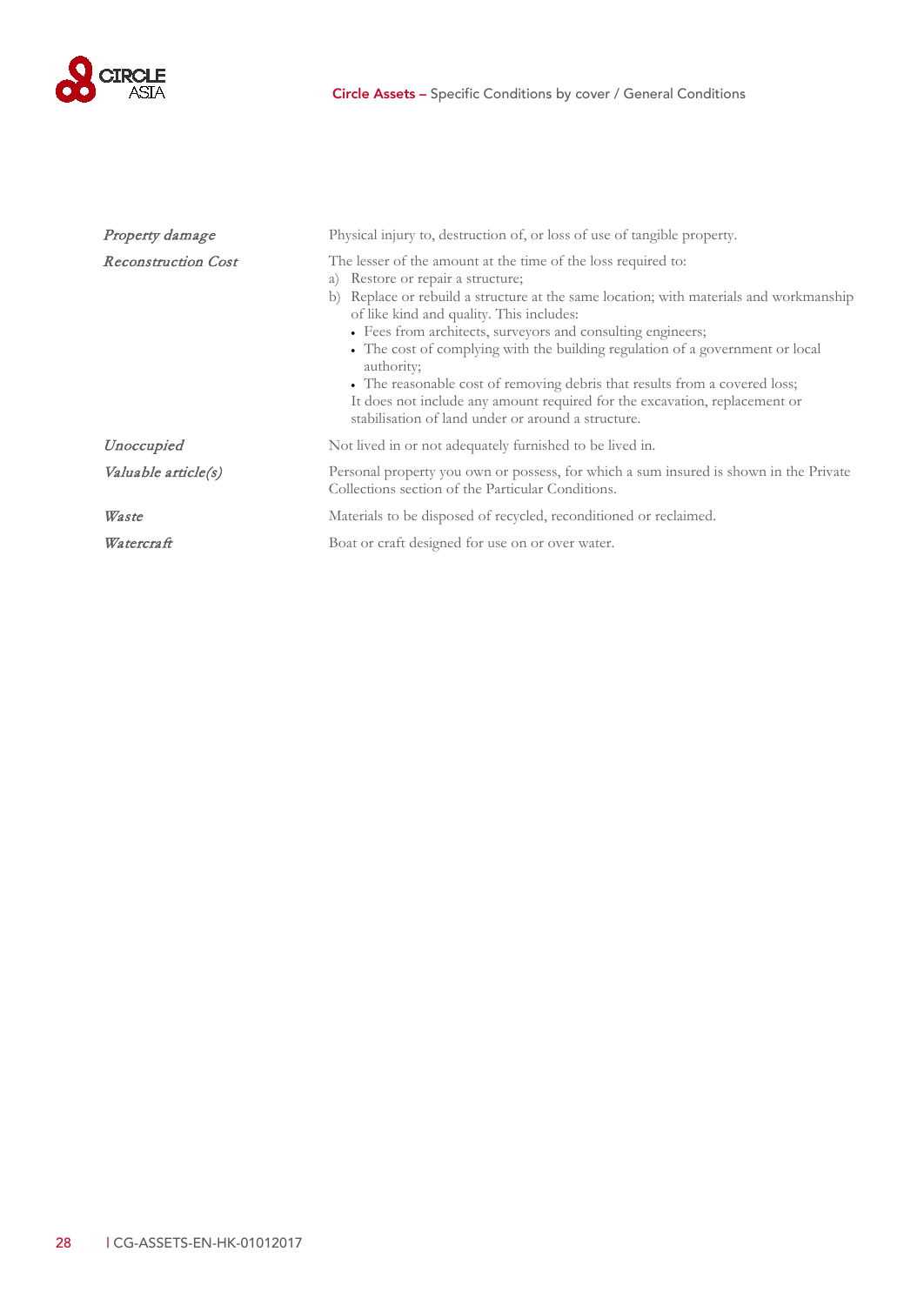

| Property damage            | Physical injury to, destruction of, or loss of use of tangible property.                                                                                                                                                                                                                                                                                                                                                                                                                                                                                                                                                    |
|----------------------------|-----------------------------------------------------------------------------------------------------------------------------------------------------------------------------------------------------------------------------------------------------------------------------------------------------------------------------------------------------------------------------------------------------------------------------------------------------------------------------------------------------------------------------------------------------------------------------------------------------------------------------|
| <b>Reconstruction Cost</b> | The lesser of the amount at the time of the loss required to:<br>a) Restore or repair a structure;<br>Replace or rebuild a structure at the same location; with materials and workmanship<br>b)<br>of like kind and quality. This includes:<br>• Fees from architects, surveyors and consulting engineers;<br>• The cost of complying with the building regulation of a government or local<br>authority;<br>• The reasonable cost of removing debris that results from a covered loss;<br>It does not include any amount required for the excavation, replacement or<br>stabilisation of land under or around a structure. |
| Unoccupied                 | Not lived in or not adequately furnished to be lived in.                                                                                                                                                                                                                                                                                                                                                                                                                                                                                                                                                                    |
| Valuable article(s)        | Personal property you own or possess, for which a sum insured is shown in the Private<br>Collections section of the Particular Conditions.                                                                                                                                                                                                                                                                                                                                                                                                                                                                                  |
| Waste                      | Materials to be disposed of recycled, reconditioned or reclaimed.                                                                                                                                                                                                                                                                                                                                                                                                                                                                                                                                                           |
| Watercraft                 | Boat or craft designed for use on or over water.                                                                                                                                                                                                                                                                                                                                                                                                                                                                                                                                                                            |